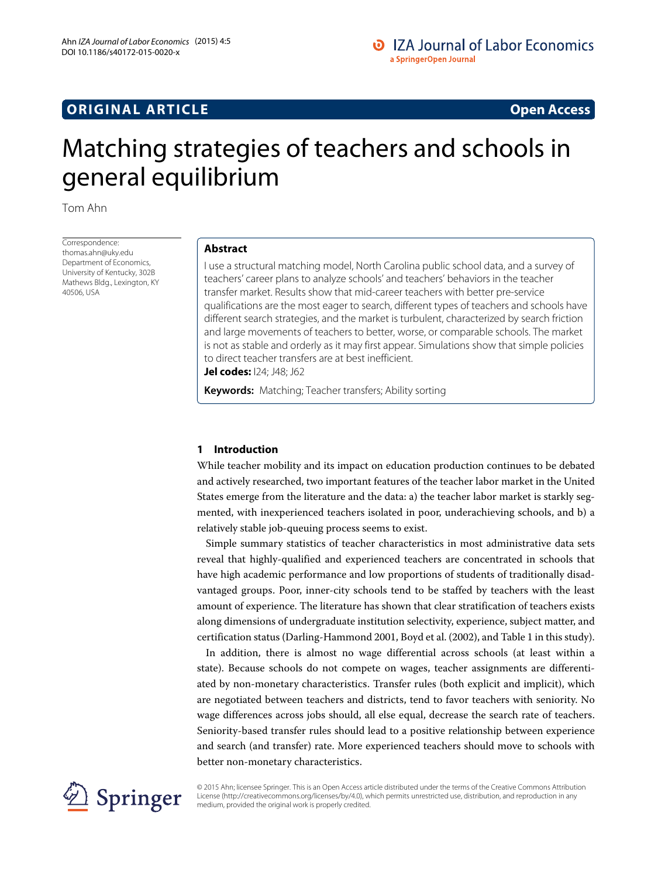# **ORIGINAL ARTICLE Open Access**

# Matching strategies of teachers and schools in general equilibrium

Tom Ahn

Correspondence: [thomas.ahn@uky.edu](mailto:thomas.ahn@uky.edu) Department of Economics, University of Kentucky, 302B Mathews Bldg., Lexington, KY 40506, USA

## **Abstract**

I use a structural matching model, North Carolina public school data, and a survey of teachers' career plans to analyze schools' and teachers' behaviors in the teacher transfer market. Results show that mid-career teachers with better pre-service qualifications are the most eager to search, different types of teachers and schools have different search strategies, and the market is turbulent, characterized by search friction and large movements of teachers to better, worse, or comparable schools. The market is not as stable and orderly as it may first appear. Simulations show that simple policies to direct teacher transfers are at best inefficient.

**Jel codes:** I24; J48; J62

**Keywords:** Matching; Teacher transfers; Ability sorting

### **1 Introduction**

While teacher mobility and its impact on education production continues to be debated and actively researched, two important features of the teacher labor market in the United States emerge from the literature and the data: a) the teacher labor market is starkly segmented, with inexperienced teachers isolated in poor, underachieving schools, and b) a relatively stable job-queuing process seems to exist.

Simple summary statistics of teacher characteristics in most administrative data sets reveal that highly-qualified and experienced teachers are concentrated in schools that have high academic performance and low proportions of students of traditionally disadvantaged groups. Poor, inner-city schools tend to be staffed by teachers with the least amount of experience. The literature has shown that clear stratification of teachers exists along dimensions of undergraduate institution selectivity, experience, subject matter, and certification status (Darling-Hammond 2001, Boyd et al. [\(2002\)](#page-29-0), and Table [1](#page-1-0) in this study).

In addition, there is almost no wage differential across schools (at least within a state). Because schools do not compete on wages, teacher assignments are differentiated by non-monetary characteristics. Transfer rules (both explicit and implicit), which are negotiated between teachers and districts, tend to favor teachers with seniority. No wage differences across jobs should, all else equal, decrease the search rate of teachers. Seniority-based transfer rules should lead to a positive relationship between experience and search (and transfer) rate. More experienced teachers should move to schools with better non-monetary characteristics.



© 2015 Ahn; licensee Springer. This is an Open Access article distributed under the terms of the Creative Commons Attribution License [\(http://creativecommons.org/licenses/by/4.0\)](http://creativecommons.org/licenses/by/4.0), which permits unrestricted use, distribution, and reproduction in any medium, provided the original work is properly credited.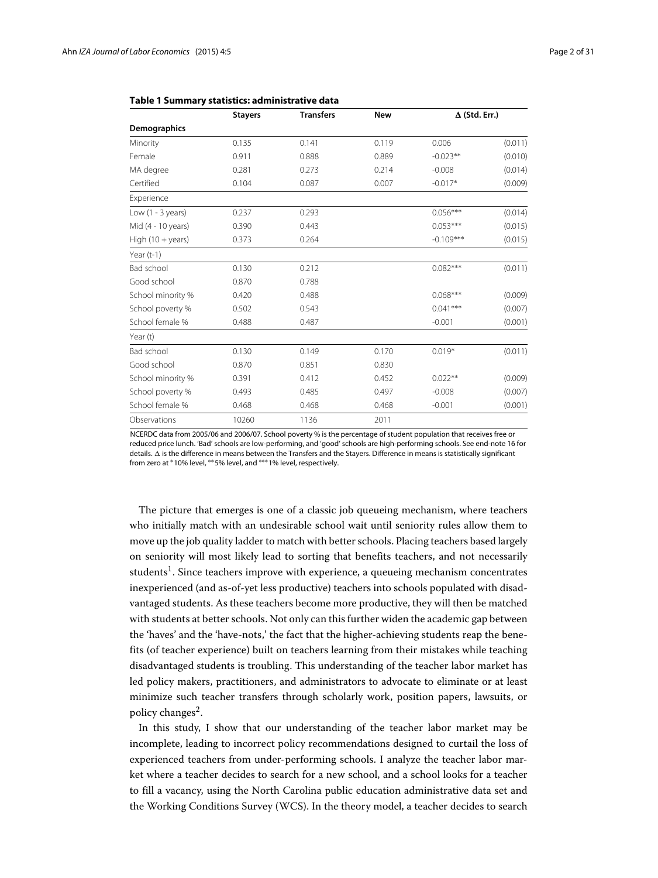<span id="page-1-0"></span>

|                            | <b>Stayers</b> | <b>Transfers</b> | <b>New</b> | $\Delta$ (Std. Err.) |         |
|----------------------------|----------------|------------------|------------|----------------------|---------|
| <b>Demographics</b>        |                |                  |            |                      |         |
| Minority                   | 0.135          | 0.141            | 0.119      | 0.006                | (0.011) |
| Female                     | 0.911          | 0.888            | 0.889      | $-0.023**$           | (0.010) |
| MA degree                  | 0.281          | 0.273            | 0.214      | $-0.008$             | (0.014) |
| Certified                  | 0.104          | 0.087            | 0.007      | $-0.017*$            | (0.009) |
| Experience                 |                |                  |            |                      |         |
| Low $(1 - 3$ years)        | 0.237          | 0.293            |            | $0.056***$           | (0.014) |
| Mid (4 - 10 years)         | 0.390          | 0.443            |            | $0.053***$           | (0.015) |
| High $(10 + \text{years})$ | 0.373          | 0.264            |            | $-0.109***$          | (0.015) |
| Year (t-1)                 |                |                  |            |                      |         |
| Bad school                 | 0.130          | 0.212            |            | $0.082***$           | (0.011) |
| Good school                | 0.870          | 0.788            |            |                      |         |
| School minority %          | 0.420          | 0.488            |            | $0.068***$           | (0.009) |
| School poverty %           | 0.502          | 0.543            |            | $0.041***$           | (0.007) |
| School female %            | 0.488          | 0.487            |            | $-0.001$             | (0.001) |
| Year (t)                   |                |                  |            |                      |         |
| Bad school                 | 0.130          | 0.149            | 0.170      | $0.019*$             | (0.011) |
| Good school                | 0.870          | 0.851            | 0.830      |                      |         |
| School minority %          | 0.391          | 0.412            | 0.452      | $0.022**$            | (0.009) |
| School poverty %           | 0.493          | 0.485            | 0.497      | $-0.008$             | (0.007) |
| School female %            | 0.468          | 0.468            | 0.468      | $-0.001$             | (0.001) |
| Observations               | 10260          | 1136             | 2011       |                      |         |

**Table 1 Summary statistics: administrative data**

NCERDC data from 2005/06 and 2006/07. School poverty % is the percentage of student population that receives free or reduced price lunch. 'Bad' schools are low-performing, and 'good' schools are high-performing schools. See end-note 16 for details.  $\Delta$  is the difference in means between the Transfers and the Stayers. Difference in means is statistically significant from zero at \*10% level, \*\*5% level, and \*\*\*1% level, respectively.

The picture that emerges is one of a classic job queueing mechanism, where teachers who initially match with an undesirable school wait until seniority rules allow them to move up the job quality ladder to match with better schools. Placing teachers based largely on seniority will most likely lead to sorting that benefits teachers, and not necessarily students<sup>1</sup>. Since teachers improve with experience, a queueing mechanism concentrates inexperienced (and as-of-yet less productive) teachers into schools populated with disadvantaged students. As these teachers become more productive, they will then be matched with students at better schools. Not only can this further widen the academic gap between the 'haves' and the 'have-nots,' the fact that the higher-achieving students reap the benefits (of teacher experience) built on teachers learning from their mistakes while teaching disadvantaged students is troubling. This understanding of the teacher labor market has led policy makers, practitioners, and administrators to advocate to eliminate or at least minimize such teacher transfers through scholarly work, position papers, lawsuits, or policy changes<sup>2</sup>.

In this study, I show that our understanding of the teacher labor market may be incomplete, leading to incorrect policy recommendations designed to curtail the loss of experienced teachers from under-performing schools. I analyze the teacher labor market where a teacher decides to search for a new school, and a school looks for a teacher to fill a vacancy, using the North Carolina public education administrative data set and the Working Conditions Survey (WCS). In the theory model, a teacher decides to search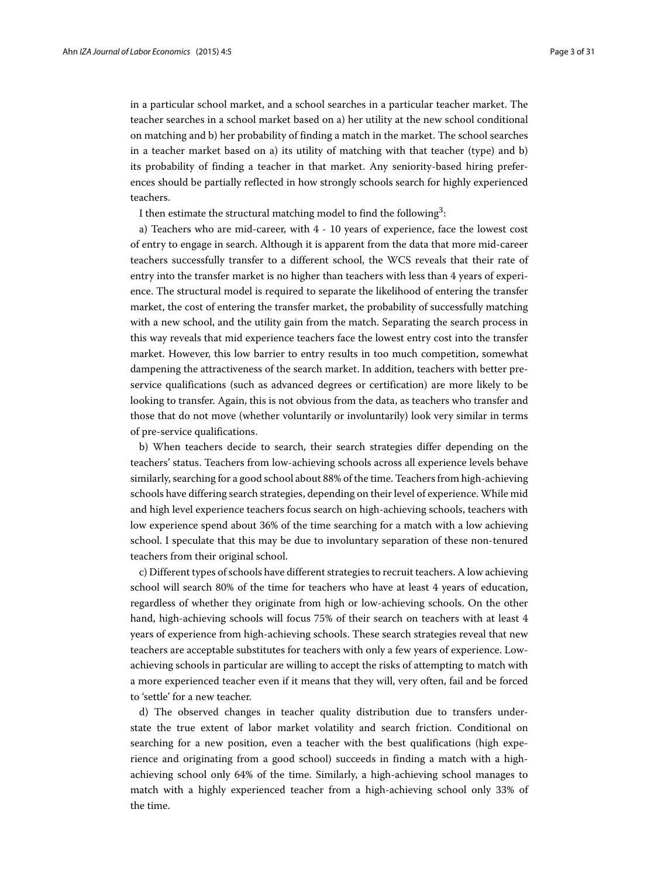in a particular school market, and a school searches in a particular teacher market. The teacher searches in a school market based on a) her utility at the new school conditional on matching and b) her probability of finding a match in the market. The school searches in a teacher market based on a) its utility of matching with that teacher (type) and b) its probability of finding a teacher in that market. Any seniority-based hiring preferences should be partially reflected in how strongly schools search for highly experienced teachers.

I then estimate the structural matching model to find the following<sup>3</sup>:

a) Teachers who are mid-career, with 4 - 10 years of experience, face the lowest cost of entry to engage in search. Although it is apparent from the data that more mid-career teachers successfully transfer to a different school, the WCS reveals that their rate of entry into the transfer market is no higher than teachers with less than 4 years of experience. The structural model is required to separate the likelihood of entering the transfer market, the cost of entering the transfer market, the probability of successfully matching with a new school, and the utility gain from the match. Separating the search process in this way reveals that mid experience teachers face the lowest entry cost into the transfer market. However, this low barrier to entry results in too much competition, somewhat dampening the attractiveness of the search market. In addition, teachers with better preservice qualifications (such as advanced degrees or certification) are more likely to be looking to transfer. Again, this is not obvious from the data, as teachers who transfer and those that do not move (whether voluntarily or involuntarily) look very similar in terms of pre-service qualifications.

b) When teachers decide to search, their search strategies differ depending on the teachers' status. Teachers from low-achieving schools across all experience levels behave similarly, searching for a good school about 88% of the time. Teachers from high-achieving schools have differing search strategies, depending on their level of experience. While mid and high level experience teachers focus search on high-achieving schools, teachers with low experience spend about 36% of the time searching for a match with a low achieving school. I speculate that this may be due to involuntary separation of these non-tenured teachers from their original school.

c) Different types of schools have different strategies to recruit teachers. A low achieving school will search 80% of the time for teachers who have at least 4 years of education, regardless of whether they originate from high or low-achieving schools. On the other hand, high-achieving schools will focus 75% of their search on teachers with at least 4 years of experience from high-achieving schools. These search strategies reveal that new teachers are acceptable substitutes for teachers with only a few years of experience. Lowachieving schools in particular are willing to accept the risks of attempting to match with a more experienced teacher even if it means that they will, very often, fail and be forced to 'settle' for a new teacher.

d) The observed changes in teacher quality distribution due to transfers understate the true extent of labor market volatility and search friction. Conditional on searching for a new position, even a teacher with the best qualifications (high experience and originating from a good school) succeeds in finding a match with a highachieving school only 64% of the time. Similarly, a high-achieving school manages to match with a highly experienced teacher from a high-achieving school only 33% of the time.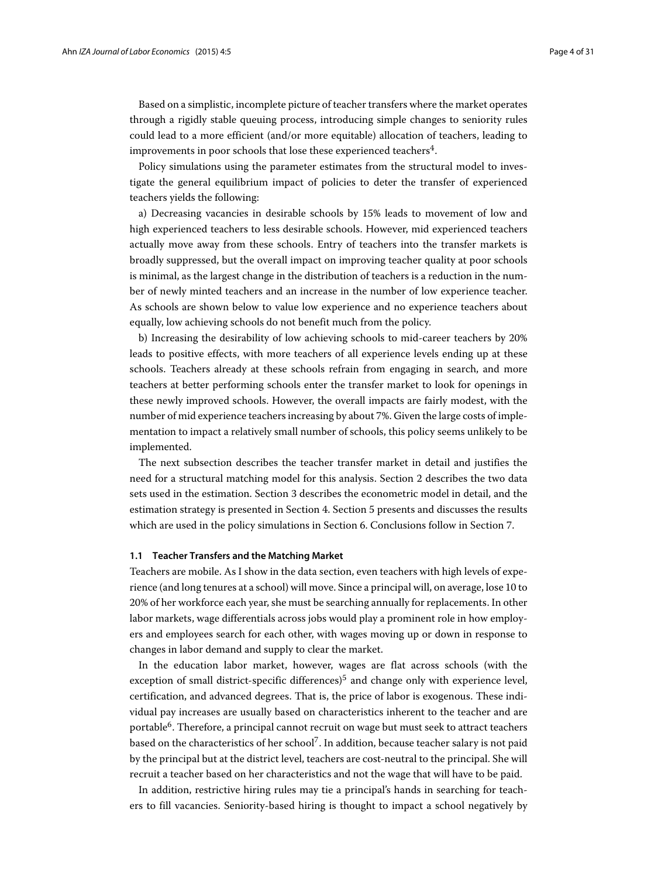Based on a simplistic, incomplete picture of teacher transfers where the market operates through a rigidly stable queuing process, introducing simple changes to seniority rules could lead to a more efficient (and/or more equitable) allocation of teachers, leading to improvements in poor schools that lose these experienced teachers<sup>4</sup>.

Policy simulations using the parameter estimates from the structural model to investigate the general equilibrium impact of policies to deter the transfer of experienced teachers yields the following:

a) Decreasing vacancies in desirable schools by 15% leads to movement of low and high experienced teachers to less desirable schools. However, mid experienced teachers actually move away from these schools. Entry of teachers into the transfer markets is broadly suppressed, but the overall impact on improving teacher quality at poor schools is minimal, as the largest change in the distribution of teachers is a reduction in the number of newly minted teachers and an increase in the number of low experience teacher. As schools are shown below to value low experience and no experience teachers about equally, low achieving schools do not benefit much from the policy.

b) Increasing the desirability of low achieving schools to mid-career teachers by 20% leads to positive effects, with more teachers of all experience levels ending up at these schools. Teachers already at these schools refrain from engaging in search, and more teachers at better performing schools enter the transfer market to look for openings in these newly improved schools. However, the overall impacts are fairly modest, with the number of mid experience teachers increasing by about 7%. Given the large costs of implementation to impact a relatively small number of schools, this policy seems unlikely to be implemented.

The next subsection describes the teacher transfer market in detail and justifies the need for a structural matching model for this analysis. Section [2](#page-5-0) describes the two data sets used in the estimation. Section [3](#page-7-0) describes the econometric model in detail, and the estimation strategy is presented in Section [4.](#page-10-0) Section [5](#page-12-0) presents and discusses the results which are used in the policy simulations in Section [6.](#page-17-0) Conclusions follow in Section [7.](#page-22-0)

#### **1.1 Teacher Transfers and the Matching Market**

Teachers are mobile. As I show in the data section, even teachers with high levels of experience (and long tenures at a school) will move. Since a principal will, on average, lose 10 to 20% of her workforce each year, she must be searching annually for replacements. In other labor markets, wage differentials across jobs would play a prominent role in how employers and employees search for each other, with wages moving up or down in response to changes in labor demand and supply to clear the market.

In the education labor market, however, wages are flat across schools (with the exception of small district-specific differences)<sup>5</sup> and change only with experience level, certification, and advanced degrees. That is, the price of labor is exogenous. These individual pay increases are usually based on characteristics inherent to the teacher and are portable<sup>6</sup>. Therefore, a principal cannot recruit on wage but must seek to attract teachers based on the characteristics of her school<sup>7</sup>. In addition, because teacher salary is not paid by the principal but at the district level, teachers are cost-neutral to the principal. She will recruit a teacher based on her characteristics and not the wage that will have to be paid.

In addition, restrictive hiring rules may tie a principal's hands in searching for teachers to fill vacancies. Seniority-based hiring is thought to impact a school negatively by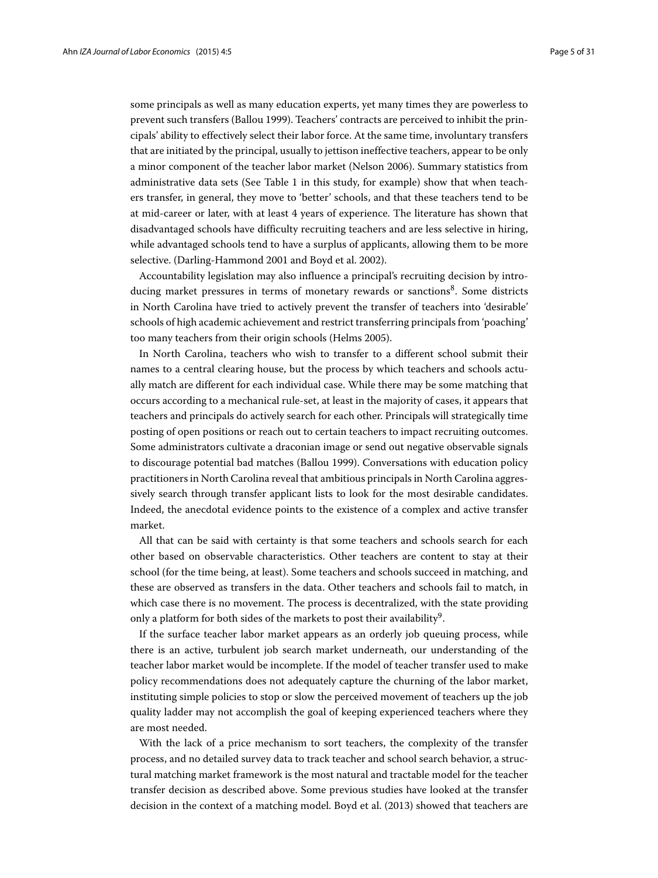some principals as well as many education experts, yet many times they are powerless to prevent such transfers (Ballou [1999\)](#page-29-1). Teachers' contracts are perceived to inhibit the principals' ability to effectively select their labor force. At the same time, involuntary transfers that are initiated by the principal, usually to jettison ineffective teachers, appear to be only a minor component of the teacher labor market (Nelson [2006\)](#page-30-0). Summary statistics from administrative data sets (See Table [1](#page-1-0) in this study, for example) show that when teachers transfer, in general, they move to 'better' schools, and that these teachers tend to be at mid-career or later, with at least 4 years of experience. The literature has shown that disadvantaged schools have difficulty recruiting teachers and are less selective in hiring, while advantaged schools tend to have a surplus of applicants, allowing them to be more selective. (Darling-Hammond 2001 and Boyd et al. [2002\)](#page-29-0).

Accountability legislation may also influence a principal's recruiting decision by introducing market pressures in terms of monetary rewards or sanctions<sup>8</sup>. Some districts in North Carolina have tried to actively prevent the transfer of teachers into 'desirable' schools of high academic achievement and restrict transferring principals from 'poaching' too many teachers from their origin schools (Helms [2005\)](#page-30-1).

In North Carolina, teachers who wish to transfer to a different school submit their names to a central clearing house, but the process by which teachers and schools actually match are different for each individual case. While there may be some matching that occurs according to a mechanical rule-set, at least in the majority of cases, it appears that teachers and principals do actively search for each other. Principals will strategically time posting of open positions or reach out to certain teachers to impact recruiting outcomes. Some administrators cultivate a draconian image or send out negative observable signals to discourage potential bad matches (Ballou [1999\)](#page-29-1). Conversations with education policy practitioners in North Carolina reveal that ambitious principals in North Carolina aggressively search through transfer applicant lists to look for the most desirable candidates. Indeed, the anecdotal evidence points to the existence of a complex and active transfer market.

All that can be said with certainty is that some teachers and schools search for each other based on observable characteristics. Other teachers are content to stay at their school (for the time being, at least). Some teachers and schools succeed in matching, and these are observed as transfers in the data. Other teachers and schools fail to match, in which case there is no movement. The process is decentralized, with the state providing only a platform for both sides of the markets to post their availability<sup>9</sup>.

If the surface teacher labor market appears as an orderly job queuing process, while there is an active, turbulent job search market underneath, our understanding of the teacher labor market would be incomplete. If the model of teacher transfer used to make policy recommendations does not adequately capture the churning of the labor market, instituting simple policies to stop or slow the perceived movement of teachers up the job quality ladder may not accomplish the goal of keeping experienced teachers where they are most needed.

With the lack of a price mechanism to sort teachers, the complexity of the transfer process, and no detailed survey data to track teacher and school search behavior, a structural matching market framework is the most natural and tractable model for the teacher transfer decision as described above. Some previous studies have looked at the transfer decision in the context of a matching model. Boyd et al. [\(2013\)](#page-29-2) showed that teachers are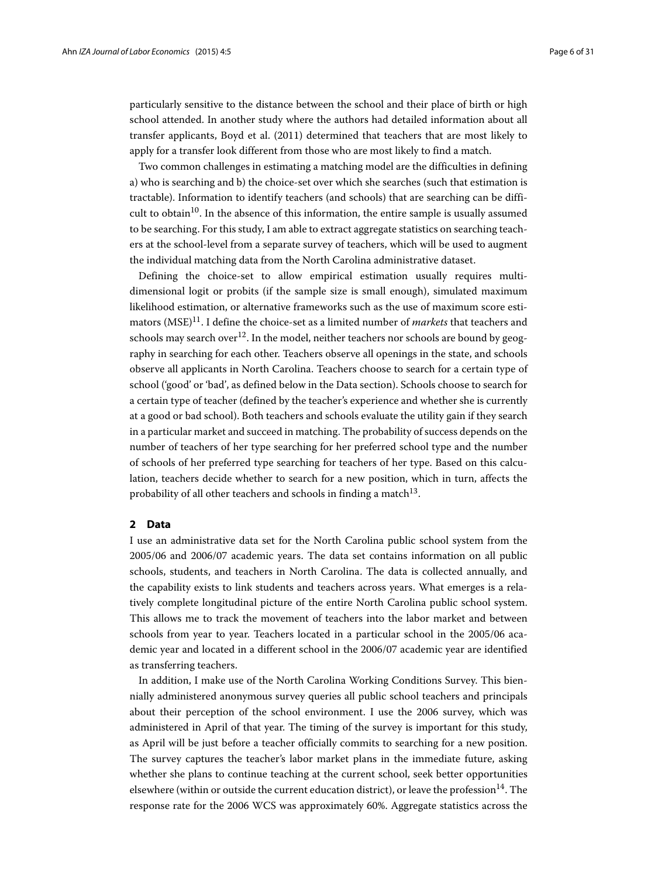particularly sensitive to the distance between the school and their place of birth or high school attended. In another study where the authors had detailed information about all transfer applicants, Boyd et al. [\(2011\)](#page-29-3) determined that teachers that are most likely to apply for a transfer look different from those who are most likely to find a match.

Two common challenges in estimating a matching model are the difficulties in defining a) who is searching and b) the choice-set over which she searches (such that estimation is tractable). Information to identify teachers (and schools) that are searching can be difficult to obtain<sup>10</sup>. In the absence of this information, the entire sample is usually assumed to be searching. For this study, I am able to extract aggregate statistics on searching teachers at the school-level from a separate survey of teachers, which will be used to augment the individual matching data from the North Carolina administrative dataset.

Defining the choice-set to allow empirical estimation usually requires multidimensional logit or probits (if the sample size is small enough), simulated maximum likelihood estimation, or alternative frameworks such as the use of maximum score estimators (MSE)11. I define the choice-set as a limited number of *markets* that teachers and schools may search over<sup>12</sup>. In the model, neither teachers nor schools are bound by geography in searching for each other. Teachers observe all openings in the state, and schools observe all applicants in North Carolina. Teachers choose to search for a certain type of school ('good' or 'bad', as defined below in the Data section). Schools choose to search for a certain type of teacher (defined by the teacher's experience and whether she is currently at a good or bad school). Both teachers and schools evaluate the utility gain if they search in a particular market and succeed in matching. The probability of success depends on the number of teachers of her type searching for her preferred school type and the number of schools of her preferred type searching for teachers of her type. Based on this calculation, teachers decide whether to search for a new position, which in turn, affects the probability of all other teachers and schools in finding a match<sup>13</sup>.

#### <span id="page-5-0"></span>**2 Data**

I use an administrative data set for the North Carolina public school system from the 2005/06 and 2006/07 academic years. The data set contains information on all public schools, students, and teachers in North Carolina. The data is collected annually, and the capability exists to link students and teachers across years. What emerges is a relatively complete longitudinal picture of the entire North Carolina public school system. This allows me to track the movement of teachers into the labor market and between schools from year to year. Teachers located in a particular school in the 2005/06 academic year and located in a different school in the 2006/07 academic year are identified as transferring teachers.

In addition, I make use of the North Carolina Working Conditions Survey. This biennially administered anonymous survey queries all public school teachers and principals about their perception of the school environment. I use the 2006 survey, which was administered in April of that year. The timing of the survey is important for this study, as April will be just before a teacher officially commits to searching for a new position. The survey captures the teacher's labor market plans in the immediate future, asking whether she plans to continue teaching at the current school, seek better opportunities elsewhere (within or outside the current education district), or leave the profession<sup>14</sup>. The response rate for the 2006 WCS was approximately 60%. Aggregate statistics across the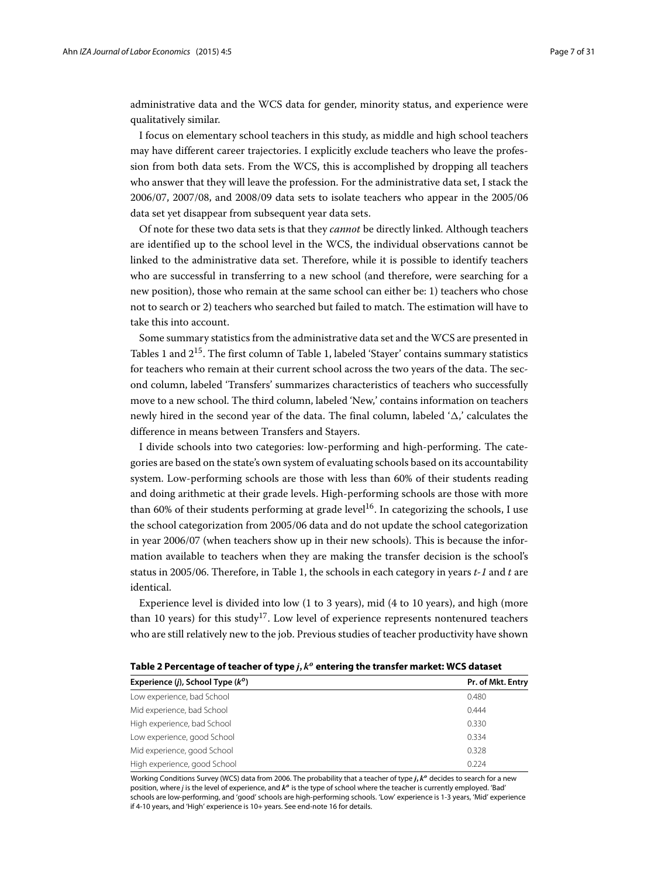administrative data and the WCS data for gender, minority status, and experience were qualitatively similar.

I focus on elementary school teachers in this study, as middle and high school teachers may have different career trajectories. I explicitly exclude teachers who leave the profession from both data sets. From the WCS, this is accomplished by dropping all teachers who answer that they will leave the profession. For the administrative data set, I stack the 2006/07, 2007/08, and 2008/09 data sets to isolate teachers who appear in the 2005/06 data set yet disappear from subsequent year data sets.

Of note for these two data sets is that they *cannot* be directly linked. Although teachers are identified up to the school level in the WCS, the individual observations cannot be linked to the administrative data set. Therefore, while it is possible to identify teachers who are successful in transferring to a new school (and therefore, were searching for a new position), those who remain at the same school can either be: 1) teachers who chose not to search or 2) teachers who searched but failed to match. The estimation will have to take this into account.

Some summary statistics from the administrative data set and the WCS are presented in Tables [1](#page-1-0) and  $2^{15}$ . The first column of Table [1,](#page-1-0) labeled 'Stayer' contains summary statistics for teachers who remain at their current school across the two years of the data. The second column, labeled 'Transfers' summarizes characteristics of teachers who successfully move to a new school. The third column, labeled 'New,' contains information on teachers newly hired in the second year of the data. The final column, labeled ' $\Delta$ ,' calculates the difference in means between Transfers and Stayers.

I divide schools into two categories: low-performing and high-performing. The categories are based on the state's own system of evaluating schools based on its accountability system. Low-performing schools are those with less than 60% of their students reading and doing arithmetic at their grade levels. High-performing schools are those with more than 60% of their students performing at grade level<sup>16</sup>. In categorizing the schools, I use the school categorization from 2005/06 data and do not update the school categorization in year 2006/07 (when teachers show up in their new schools). This is because the information available to teachers when they are making the transfer decision is the school's status in 2005/06. Therefore, in Table [1,](#page-1-0) the schools in each category in years *t-1* and *t* are identical.

Experience level is divided into low (1 to 3 years), mid (4 to 10 years), and high (more than 10 years) for this study<sup>17</sup>. Low level of experience represents nontenured teachers who are still relatively new to the job. Previous studies of teacher productivity have shown

<span id="page-6-0"></span>

| Experience ( <i>i</i> ), School Type $(k^o)$ | Pr. of Mkt. Entry |
|----------------------------------------------|-------------------|
| Low experience, bad School                   | 0.480             |
| Mid experience, bad School                   | 0.444             |
| High experience, bad School                  | 0.330             |
| Low experience, good School                  | 0.334             |
| Mid experience, good School                  | 0.328             |
| High experience, good School                 | 0.224             |

**Table 2 Percentage of teacher of type** *j***,** *k<sup>o</sup>* **entering the transfer market: WCS dataset**

Working Conditions Survey (WCS) data from 2006. The probability that a teacher of type *j***,** *k<sup>o</sup>* decides to search for a new position, where *j* is the level of experience, and *k<sup>o</sup>* is the type of school where the teacher is currently employed. 'Bad' schools are low-performing, and 'good' schools are high-performing schools. 'Low' experience is 1-3 years, 'Mid' experience if 4-10 years, and 'High' experience is 10+ years. See end-note 16 for details.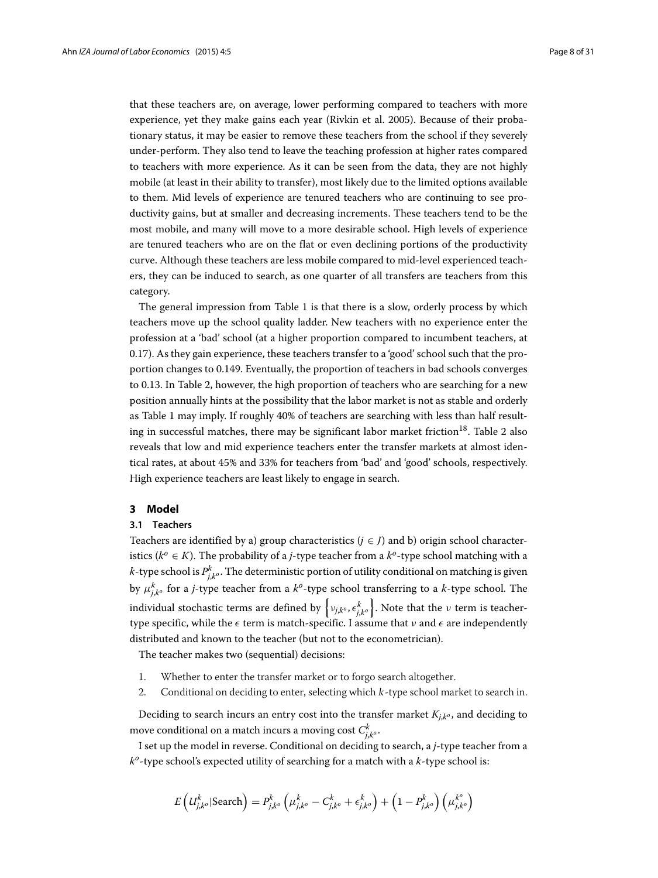that these teachers are, on average, lower performing compared to teachers with more experience, yet they make gains each year (Rivkin et al. [2005\)](#page-30-2). Because of their probationary status, it may be easier to remove these teachers from the school if they severely under-perform. They also tend to leave the teaching profession at higher rates compared to teachers with more experience. As it can be seen from the data, they are not highly mobile (at least in their ability to transfer), most likely due to the limited options available to them. Mid levels of experience are tenured teachers who are continuing to see productivity gains, but at smaller and decreasing increments. These teachers tend to be the most mobile, and many will move to a more desirable school. High levels of experience are tenured teachers who are on the flat or even declining portions of the productivity curve. Although these teachers are less mobile compared to mid-level experienced teachers, they can be induced to search, as one quarter of all transfers are teachers from this category.

The general impression from Table [1](#page-1-0) is that there is a slow, orderly process by which teachers move up the school quality ladder. New teachers with no experience enter the profession at a 'bad' school (at a higher proportion compared to incumbent teachers, at 0.17). As they gain experience, these teachers transfer to a 'good' school such that the proportion changes to 0.149. Eventually, the proportion of teachers in bad schools converges to 0.13. In Table [2,](#page-6-0) however, the high proportion of teachers who are searching for a new position annually hints at the possibility that the labor market is not as stable and orderly as Table [1](#page-1-0) may imply. If roughly 40% of teachers are searching with less than half resulting in successful matches, there may be significant labor market friction $^{18}$ . Table [2](#page-6-0) also reveals that low and mid experience teachers enter the transfer markets at almost identical rates, at about 45% and 33% for teachers from 'bad' and 'good' schools, respectively. High experience teachers are least likely to engage in search.

#### <span id="page-7-0"></span>**3 Model**

#### **3.1 Teachers**

Teachers are identified by a) group characteristics ( $j \in J$ ) and b) origin school characteristics ( $k^o \in K$ ). The probability of a *j*-type teacher from a  $k^o$ -type school matching with a *k*-type school is  $P^k_{j,k^o}$ . The deterministic portion of utility conditional on matching is given by  $\mu_{j,k^o}^k$  for a *j*-type teacher from a  $k^o$ -type school transferring to a  $k$ -type school. The individual stochastic terms are defined by  $\left\{\nu_{j,k^o}, \epsilon_{j,k^o}^k\right\}$  . Note that the ν term is teachertype specific, while the  $\epsilon$  term is match-specific. I assume that  $\nu$  and  $\epsilon$  are independently distributed and known to the teacher (but not to the econometrician).

The teacher makes two (sequential) decisions:

- 1. Whether to enter the transfer market or to forgo search altogether.
- 2. Conditional on deciding to enter, selecting which k-type school market to search in.

Deciding to search incurs an entry cost into the transfer market  $K_{j,k}$ <sup>o</sup>, and deciding to move conditional on a match incurs a moving cost  $C^k_{j,k^o}.$ 

I set up the model in reverse. Conditional on deciding to search, a *j*-type teacher from a *ko*-type school's expected utility of searching for a match with a *k*-type school is:

$$
E\left(U_{j,k^o}^k|\text{Search}\right) = P_{j,k^o}^k \left(\mu_{j,k^o}^k - C_{j,k^o}^k + \epsilon_{j,k^o}^k\right) + \left(1 - P_{j,k^o}^k\right)\left(\mu_{j,k^o}^{k^o}\right)
$$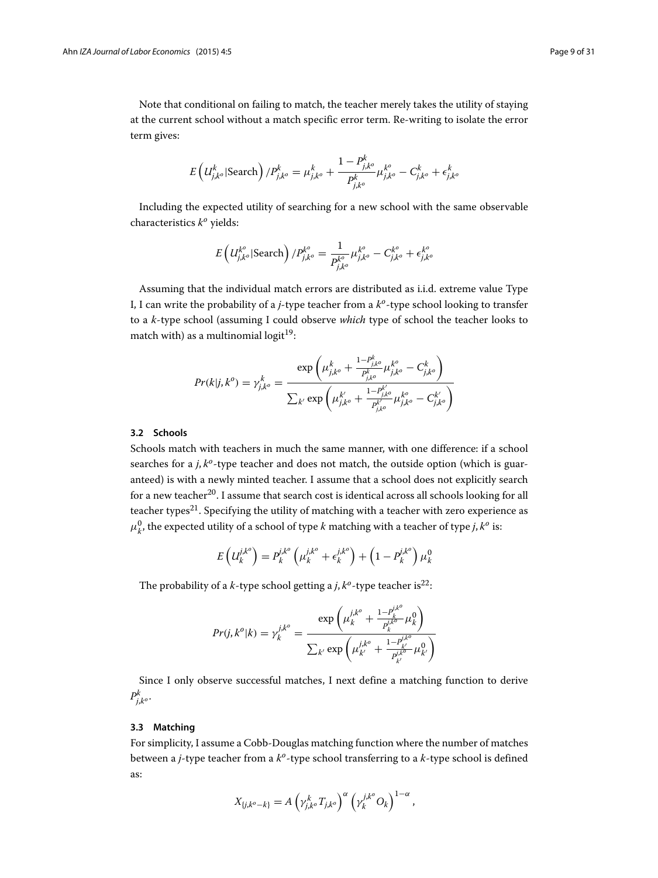Note that conditional on failing to match, the teacher merely takes the utility of staying at the current school without a match specific error term. Re-writing to isolate the error term gives:

$$
E\left(U_{j,k^o}^k|\text{Search}\right)/P_{j,k^o}^k = \mu_{j,k^o}^k + \frac{1 - P_{j,k^o}^k}{P_{j,k^o}^k} \mu_{j,k^o}^{k^o} - C_{j,k^o}^k + \epsilon_{j,k^o}^k
$$

Including the expected utility of searching for a new school with the same observable characteristics *k<sup>o</sup>* yields:

$$
E\left(U_{j,k^o}^{k^o}|\text{Search}\right)/P_{j,k^o}^{k^o} = \frac{1}{P_{j,k^o}^{k^o}}\mu_{j,k^o}^{k^o} - C_{j,k^o}^{k^o} + \epsilon_{j,k^o}^{k^o}
$$

Assuming that the individual match errors are distributed as i.i.d. extreme value Type I, I can write the probability of a *j*-type teacher from a *ko*-type school looking to transfer to a *k*-type school (assuming I could observe *which* type of school the teacher looks to match with) as a multinomial logit<sup>19</sup>:

$$
Pr(k|j, k^o) = \gamma_{j,k^o}^k = \frac{\exp\left(\mu_{j,k^o}^k + \frac{1 - P_{j,k^o}^k}{P_{j,k^o}^k} \mu_{j,k^o}^{k^o} - C_{j,k^o}^k\right)}{\sum_{k'} \exp\left(\mu_{j,k^o}^{k'} + \frac{1 - P_{j,k^o}^{k'}}{P_{j,k^o}^{k'}} \mu_{j,k^o}^{k^o} - C_{j,k^o}^{k'}\right)}
$$

#### **3.2 Schools**

Schools match with teachers in much the same manner, with one difference: if a school searches for a  $j, k^o$ -type teacher and does not match, the outside option (which is guaranteed) is with a newly minted teacher. I assume that a school does not explicitly search for a new teacher<sup>20</sup>. I assume that search cost is identical across all schools looking for all teacher types<sup>21</sup>. Specifying the utility of matching with a teacher with zero experience as  $\mu_k^0$ , the expected utility of a school of type  $k$  matching with a teacher of type  $j$ ,  $k^o$  is:

$$
E\left(U_k^{j,k^o}\right) = P_k^{j,k^o}\left(\mu_k^{j,k^o} + \epsilon_k^{j,k^o}\right) + \left(1 - P_k^{j,k^o}\right)\mu_k^0
$$

The probability of a *k*-type school getting a *j*,  $k^o$ -type teacher is<sup>22</sup>:

$$
Pr(j, k^o | k) = \gamma_k^{j, k^o} = \frac{\exp \left(\mu_k^{j, k^o} + \frac{1 - P_k^{j, k^o}}{p_k^{j, k^o}} \mu_k^0\right)}{\sum_{k'} \exp \left(\mu_{k'}^{j, k^o} + \frac{1 - P_{k'}^{j, k^o}}{p_{k'}^{j, k^o}} \mu_{k'}^0\right)}
$$

Since I only observe successful matches, I next define a matching function to derive  $P_{j,k^o}^k$ .

#### **3.3 Matching**

For simplicity, I assume a Cobb-Douglas matching function where the number of matches between a *j*-type teacher from a *ko*-type school transferring to a *k*-type school is defined as:

$$
X_{\{j,k^o-k\}} = A\left(\gamma_{j,k^o}^k T_{j,k^o}\right)^{\alpha} \left(\gamma_k^{j,k^o} O_k\right)^{1-\alpha},
$$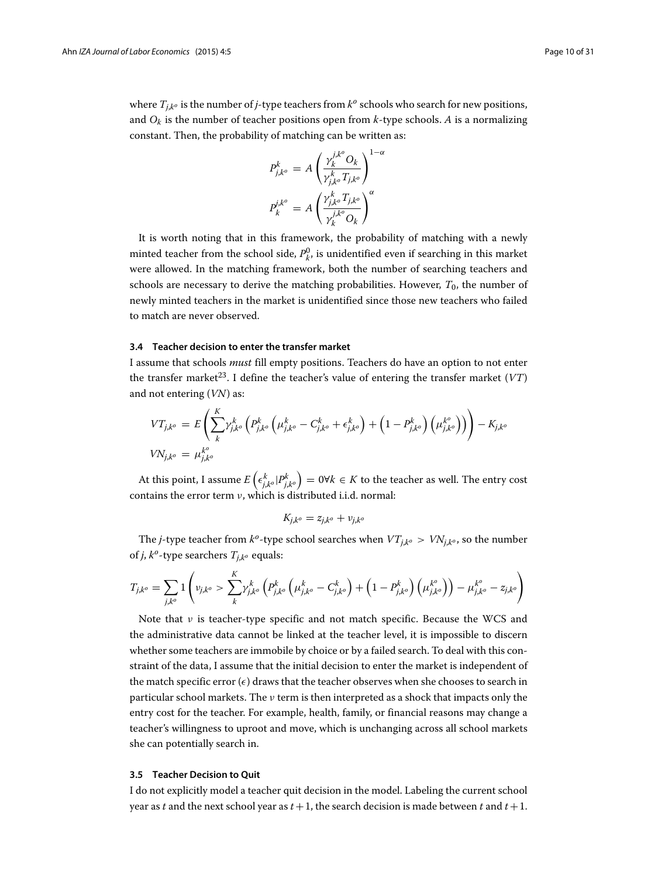where  $T_{j,k}$ <sup>o</sup> is the number of *j*-type teachers from  $k^o$  schools who search for new positions, and  $O_k$  is the number of teacher positions open from  $k$ -type schools. *A* is a normalizing constant. Then, the probability of matching can be written as:

$$
P_{j,k^o}^k = A \left( \frac{\gamma_k^{j,k^o} O_k}{\gamma_{j,k^o}^k T_{j,k^o}} \right)^{1-\alpha}
$$
  

$$
P_k^{j,k^o} = A \left( \frac{\gamma_{j,k^o}^k T_{j,k^o}}{\gamma_k^{j,k^o} O_k} \right)^{\alpha}
$$

It is worth noting that in this framework, the probability of matching with a newly minted teacher from the school side,  $P_k^0$ , is unidentified even if searching in this market were allowed. In the matching framework, both the number of searching teachers and schools are necessary to derive the matching probabilities. However,  $T_0$ , the number of newly minted teachers in the market is unidentified since those new teachers who failed to match are never observed.

#### **3.4 Teacher decision to enter the transfer market**

I assume that schools *must* fill empty positions. Teachers do have an option to not enter the transfer market<sup>23</sup>. I define the teacher's value of entering the transfer market ( $VT$ ) and not entering (*VN*) as:

$$
VT_{j,k^o} = E\left(\sum_{k}^{K} \gamma_{j,k^o}^k \left(P_{j,k^o}^k \left(\mu_{j,k^o}^k - C_{j,k^o}^k + \epsilon_{j,k^o}^k\right) + \left(1 - P_{j,k^o}^k\right)\left(\mu_{j,k^o}^{k^o}\right)\right)\right) - K_{j,k^o}
$$
  

$$
VN_{j,k^o} = \mu_{j,k^o}^{k^o}
$$

At this point, I assume  $E\left(\epsilon_{j,k^o}^k|P_{j,k^o}^k\right)$  $= 0$ ∀ $k \in K$  to the teacher as well. The entry cost contains the error term ν, which is distributed i.i.d. normal:

$$
K_{j,k^o} = z_{j,k^o} + v_{j,k^o}
$$

The *j*-type teacher from  $k^o$ -type school searches when  $VT_{j,k^o} > VN_{j,k^o}$ , so the number of *j*,  $k^o$ -type searchers  $T_{j,k^o}$  equals:

$$
T_{j,k^o} = \sum_{j,k^o} 1 \left( v_{j,k^o} > \sum_{k}^{K} \gamma_{j,k^o}^k \left( P_{j,k^o}^k \left( \mu_{j,k^o}^k - C_{j,k^o}^k \right) + \left( 1 - P_{j,k^o}^k \right) \left( \mu_{j,k^o}^{k^o} \right) \right) - \mu_{j,k^o}^{k^o} - z_{j,k^o} \right)
$$

Note that  $\nu$  is teacher-type specific and not match specific. Because the WCS and the administrative data cannot be linked at the teacher level, it is impossible to discern whether some teachers are immobile by choice or by a failed search. To deal with this constraint of the data, I assume that the initial decision to enter the market is independent of the match specific error  $(\epsilon)$  draws that the teacher observes when she chooses to search in particular school markets. The ν term is then interpreted as a shock that impacts only the entry cost for the teacher. For example, health, family, or financial reasons may change a teacher's willingness to uproot and move, which is unchanging across all school markets she can potentially search in.

#### <span id="page-9-0"></span>**3.5 Teacher Decision to Quit**

I do not explicitly model a teacher quit decision in the model. Labeling the current school year as *t* and the next school year as  $t + 1$ , the search decision is made between *t* and  $t + 1$ .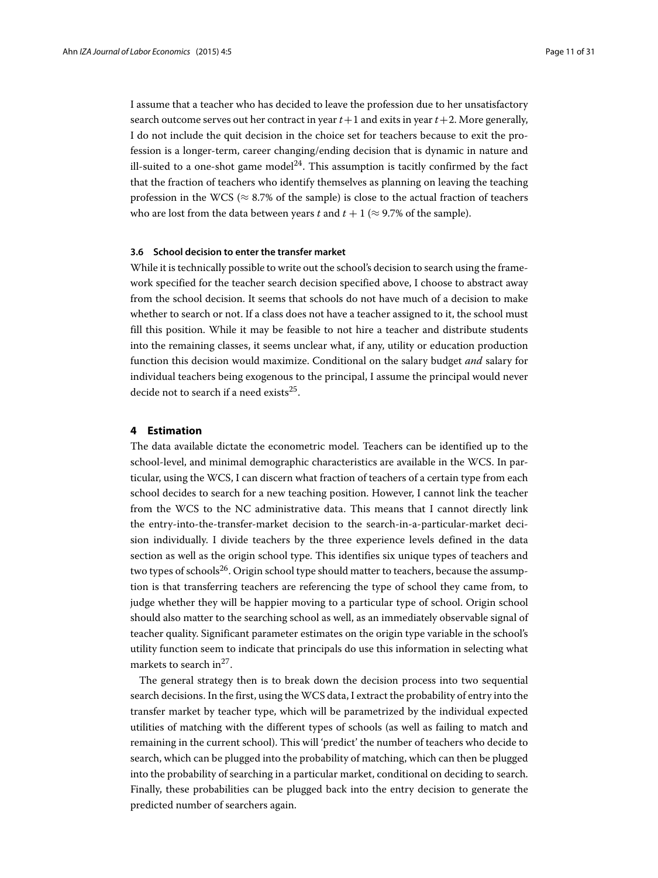I assume that a teacher who has decided to leave the profession due to her unsatisfactory search outcome serves out her contract in year  $t+1$  and exits in year  $t+2$ . More generally, I do not include the quit decision in the choice set for teachers because to exit the profession is a longer-term, career changing/ending decision that is dynamic in nature and ill-suited to a one-shot game model<sup>24</sup>. This assumption is tacitly confirmed by the fact that the fraction of teachers who identify themselves as planning on leaving the teaching profession in the WCS ( $\approx$  8.7% of the sample) is close to the actual fraction of teachers who are lost from the data between years *t* and  $t + 1 \approx 9.7\%$  of the sample).

#### **3.6 School decision to enter the transfer market**

While it is technically possible to write out the school's decision to search using the framework specified for the teacher search decision specified above, I choose to abstract away from the school decision. It seems that schools do not have much of a decision to make whether to search or not. If a class does not have a teacher assigned to it, the school must fill this position. While it may be feasible to not hire a teacher and distribute students into the remaining classes, it seems unclear what, if any, utility or education production function this decision would maximize. Conditional on the salary budget *and* salary for individual teachers being exogenous to the principal, I assume the principal would never decide not to search if a need exists<sup>25</sup>.

#### <span id="page-10-0"></span>**4 Estimation**

The data available dictate the econometric model. Teachers can be identified up to the school-level, and minimal demographic characteristics are available in the WCS. In particular, using the WCS, I can discern what fraction of teachers of a certain type from each school decides to search for a new teaching position. However, I cannot link the teacher from the WCS to the NC administrative data. This means that I cannot directly link the entry-into-the-transfer-market decision to the search-in-a-particular-market decision individually. I divide teachers by the three experience levels defined in the data section as well as the origin school type. This identifies six unique types of teachers and two types of schools<sup>26</sup>. Origin school type should matter to teachers, because the assumption is that transferring teachers are referencing the type of school they came from, to judge whether they will be happier moving to a particular type of school. Origin school should also matter to the searching school as well, as an immediately observable signal of teacher quality. Significant parameter estimates on the origin type variable in the school's utility function seem to indicate that principals do use this information in selecting what markets to search in $^{27}$ .

The general strategy then is to break down the decision process into two sequential search decisions. In the first, using the WCS data, I extract the probability of entry into the transfer market by teacher type, which will be parametrized by the individual expected utilities of matching with the different types of schools (as well as failing to match and remaining in the current school). This will 'predict' the number of teachers who decide to search, which can be plugged into the probability of matching, which can then be plugged into the probability of searching in a particular market, conditional on deciding to search. Finally, these probabilities can be plugged back into the entry decision to generate the predicted number of searchers again.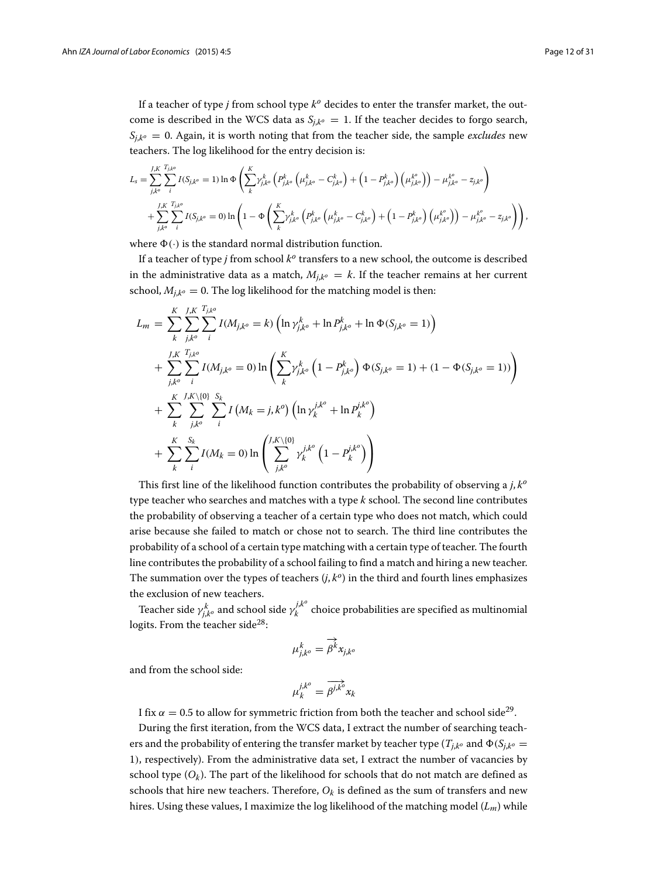If a teacher of type *j* from school type *k<sup>o</sup>* decides to enter the transfer market, the outcome is described in the WCS data as  $S_{i,k^o} = 1$ . If the teacher decides to forgo search,  $S_{i,k^o} = 0$ . Again, it is worth noting that from the teacher side, the sample *excludes* new teachers. The log likelihood for the entry decision is:

$$
L_{s} = \sum_{j,k^{o}}^{J,K} \sum_{i}^{T_{j,k^{o}}} I(S_{j,k^{o}} = 1) \ln \Phi \left( \sum_{k}^{K} \gamma_{j,k^{o}}^{k} \left( P_{j,k^{o}}^{k} \left( \mu_{j,k^{o}}^{k} - C_{j,k^{o}}^{k} \right) + \left( 1 - P_{j,k^{o}}^{k} \right) \left( \mu_{j,k^{o}}^{k^{o}} \right) \right) - \mu_{j,k^{o}}^{k^{o}} - z_{j,k^{o}} \right) + \sum_{j,k^{o}}^{J,K} \sum_{i}^{T_{j,k^{o}}} I(S_{j,k^{o}} = 0) \ln \left( 1 - \Phi \left( \sum_{k}^{K} \gamma_{j,k^{o}}^{k} \left( P_{j,k^{o}}^{k} \left( \mu_{j,k^{o}}^{k} - C_{j,k^{o}}^{k} \right) + \left( 1 - P_{j,k^{o}}^{k} \right) \left( \mu_{j,k^{o}}^{k^{o}} \right) \right) - \mu_{j,k^{o}}^{k^{o}} - z_{j,k^{o}} \right) \right),
$$

where  $\Phi(\cdot)$  is the standard normal distribution function.

If a teacher of type *j* from school *k<sup>o</sup>* transfers to a new school, the outcome is described in the administrative data as a match,  $M_{i,k^o} = k$ . If the teacher remains at her current school,  $M_{j,k^o} = 0$ . The log likelihood for the matching model is then:

$$
L_m = \sum_{k}^{K} \sum_{j,k^o}^{J,K} \sum_{i}^{T_{j,k^o}} I(M_{j,k^o} = k) \left( \ln \gamma_{j,k^o}^k + \ln P_{j,k^o}^k + \ln \Phi(S_{j,k^o} = 1) \right)
$$
  
+ 
$$
\sum_{j,k^o}^{J,K} \sum_{i}^{T_{j,k^o}} I(M_{j,k^o} = 0) \ln \left( \sum_{k}^{K} \gamma_{j,k^o}^k \left( 1 - P_{j,k^o}^k \right) \Phi(S_{j,k^o} = 1) + (1 - \Phi(S_{j,k^o} = 1)) \right)
$$
  
+ 
$$
\sum_{k}^{K} \sum_{j,k^o}^{J,K \setminus \{0\}} \sum_{i}^{S_k} I(M_k = j, k^o) \left( \ln \gamma_k^{j,k^o} + \ln P_k^{j,k^o} \right)
$$
  
+ 
$$
\sum_{k}^{K} \sum_{i}^{S_k} I(M_k = 0) \ln \left( \sum_{j,k^o}^{J,K \setminus \{0\}} \gamma_k^{j,k^o} \left( 1 - P_k^{j,k^o} \right) \right)
$$

This first line of the likelihood function contributes the probability of observing a *j*, *k<sup>o</sup>* type teacher who searches and matches with a type *k* school. The second line contributes the probability of observing a teacher of a certain type who does not match, which could arise because she failed to match or chose not to search. The third line contributes the probability of a school of a certain type matching with a certain type of teacher. The fourth line contributes the probability of a school failing to find a match and hiring a new teacher. The summation over the types of teachers  $(j, k^o)$  in the third and fourth lines emphasizes the exclusion of new teachers.

Teacher side  $\gamma^k_{j,k^o}$  and school side  $\gamma^{\dot{j},k^o}_k$  choice probabilities are specified as multinomial logits. From the teacher side<sup>28</sup>:

$$
\mu_{j,k^o}^k = \overrightarrow{\beta^k} x_{j,k^o}
$$

and from the school side:

$$
\mu_k^{j,k^o} = \overrightarrow{\beta^{j,k^o}} x_k
$$

I fix  $\alpha = 0.5$  to allow for symmetric friction from both the teacher and school side<sup>29</sup>.

During the first iteration, from the WCS data, I extract the number of searching teachers and the probability of entering the transfer market by teacher type ( $T_{j,k}$ <sup>*o*</sup> and  $\Phi(S_{j,k}$ <sup>*o*</sup> = 1), respectively). From the administrative data set, I extract the number of vacancies by school type  $(O_k)$ . The part of the likelihood for schools that do not match are defined as schools that hire new teachers. Therefore,  $O_k$  is defined as the sum of transfers and new hires. Using these values, I maximize the log likelihood of the matching model (*Lm*) while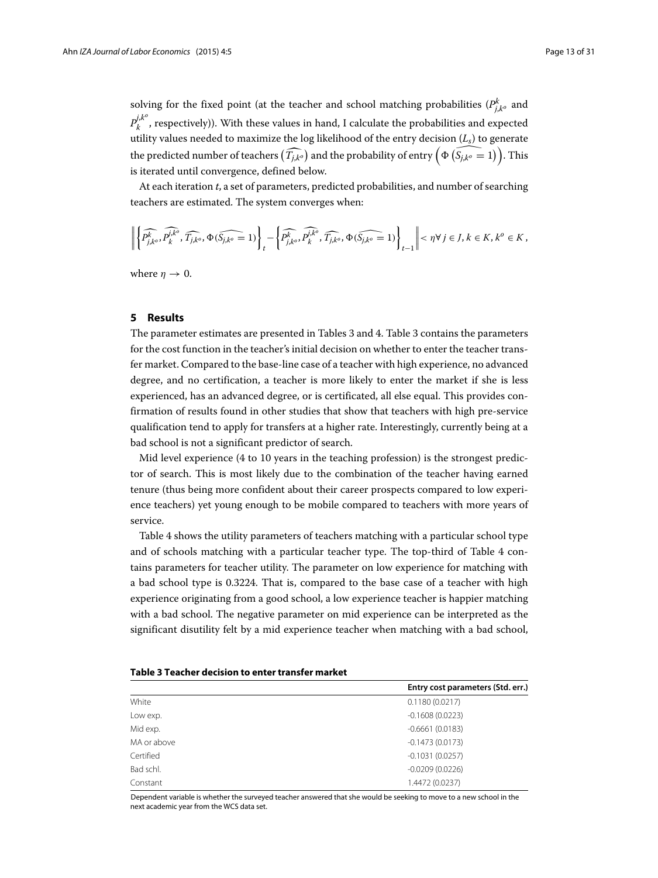solving for the fixed point (at the teacher and school matching probabilities  $(P_{j,k^o}^k$  and  $P_k^{j,k^o}$ , respectively)). With these values in hand, I calculate the probabilities and expected utility values needed to maximize the log likelihood of the entry decision (*Ls*) to generate the predicted number of teachers  $(\widehat{T_{j,k^o}})$  and the probability of entry  $\left(\Phi\left(\widehat{S_{j,k^o}}=1\right)\right)$ . This is iterated until convergence, defined below.

At each iteration *t*, a set of parameters, predicted probabilities, and number of searching teachers are estimated. The system converges when:

$$
\left\|\left\{\widehat{P_{j,k^o}^k}, \widehat{P_k^{j,k^o}}, \widehat{T_{j,k^o}}, \Phi(\widehat{S_{j,k^o}}=1)\right\}_t - \left\{\widehat{P_{j,k^o}^k}, \widehat{P_k^{j,k^o}}, \widehat{T_{j,k^o}}, \Phi(\widehat{S_{j,k^o}}=1)\right\}_{t-1}\right\| < \eta \forall j \in J, k \in K, k^o \in K,
$$

where  $\eta \rightarrow 0$ .

#### <span id="page-12-0"></span>**5 Results**

The parameter estimates are presented in Tables [3](#page-12-1) and [4.](#page-13-0) Table [3](#page-12-1) contains the parameters for the cost function in the teacher's initial decision on whether to enter the teacher transfer market. Compared to the base-line case of a teacher with high experience, no advanced degree, and no certification, a teacher is more likely to enter the market if she is less experienced, has an advanced degree, or is certificated, all else equal. This provides confirmation of results found in other studies that show that teachers with high pre-service qualification tend to apply for transfers at a higher rate. Interestingly, currently being at a bad school is not a significant predictor of search.

Mid level experience (4 to 10 years in the teaching profession) is the strongest predictor of search. This is most likely due to the combination of the teacher having earned tenure (thus being more confident about their career prospects compared to low experience teachers) yet young enough to be mobile compared to teachers with more years of service.

Table [4](#page-13-0) shows the utility parameters of teachers matching with a particular school type and of schools matching with a particular teacher type. The top-third of Table [4](#page-13-0) contains parameters for teacher utility. The parameter on low experience for matching with a bad school type is 0.3224. That is, compared to the base case of a teacher with high experience originating from a good school, a low experience teacher is happier matching with a bad school. The negative parameter on mid experience can be interpreted as the significant disutility felt by a mid experience teacher when matching with a bad school,

<span id="page-12-1"></span>

|             | Entry cost parameters (Std. err.) |
|-------------|-----------------------------------|
| White       | 0.1180(0.0217)                    |
| Low exp.    | $-0.1608(0.0223)$                 |
| Mid exp.    | $-0.6661(0.0183)$                 |
| MA or above | $-0.1473(0.0173)$                 |
| Certified   | $-0.1031(0.0257)$                 |
| Bad schl.   | $-0.0209(0.0226)$                 |
| Constant    | 1.4472 (0.0237)                   |

**Table 3 Teacher decision to enter transfer market**

Dependent variable is whether the surveyed teacher answered that she would be seeking to move to a new school in the next academic year from the WCS data set.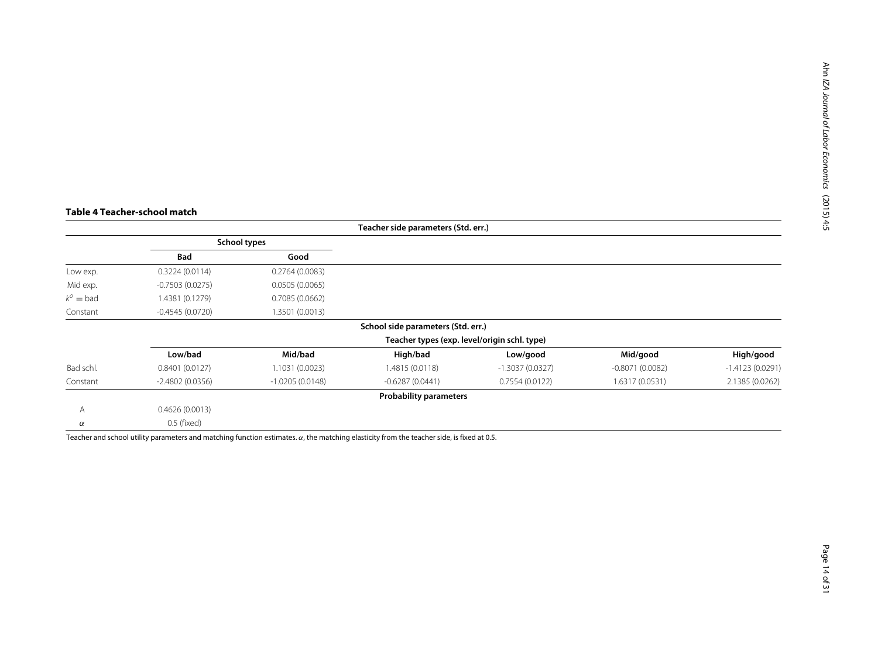# **Table 4 Teacher-school match**

|                   |                   |                   | Teacher side parameters (Std. err.)          |                   |                   |                   |
|-------------------|-------------------|-------------------|----------------------------------------------|-------------------|-------------------|-------------------|
|                   |                   | School types      |                                              |                   |                   |                   |
|                   | Bad               | Good              |                                              |                   |                   |                   |
| Low exp.          | 0.3224(0.0114)    | 0.2764(0.0083)    |                                              |                   |                   |                   |
| Mid exp.          | $-0.7503(0.0275)$ | 0.0505(0.0065)    |                                              |                   |                   |                   |
| $k^{\circ} =$ bad | 1.4381 (0.1279)   | 0.7085(0.0662)    |                                              |                   |                   |                   |
| Constant          | $-0.4545(0.0720)$ | 1.3501 (0.0013)   |                                              |                   |                   |                   |
|                   |                   |                   | School side parameters (Std. err.)           |                   |                   |                   |
|                   |                   |                   | Teacher types (exp. level/origin schl. type) |                   |                   |                   |
|                   | Low/bad           | Mid/bad           | High/bad                                     | Low/good          | Mid/good          | High/good         |
| Bad schl.         | 0.8401(0.0127)    | 1.1031 (0.0023)   | 1.4815 (0.0118)                              | $-1.3037(0.0327)$ | $-0.8071(0.0082)$ | $-1.4123(0.0291)$ |
| Constant          | $-2.4802(0.0356)$ | $-1.0205(0.0148)$ | $-0.6287(0.0441)$                            | 0.7554(0.0122)    | 1.6317 (0.0531)   | 2.1385 (0.0262)   |
|                   |                   |                   | <b>Probability parameters</b>                |                   |                   |                   |
| A                 | 0.4626(0.0013)    |                   |                                              |                   |                   |                   |
| $\alpha$          | $0.5$ (fixed)     |                   |                                              |                   |                   |                   |

<span id="page-13-0"></span>Teacher and school utility parameters and matching function estimates. α, the matching elasticity from the teacher side, is fixed at 0.5.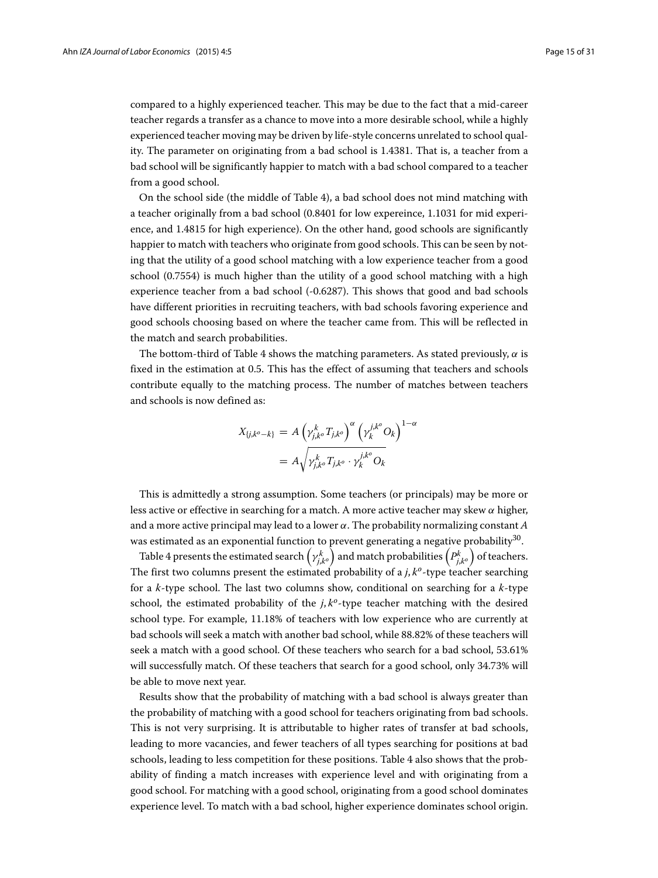compared to a highly experienced teacher. This may be due to the fact that a mid-career teacher regards a transfer as a chance to move into a more desirable school, while a highly experienced teacher moving may be driven by life-style concerns unrelated to school quality. The parameter on originating from a bad school is 1.4381. That is, a teacher from a bad school will be significantly happier to match with a bad school compared to a teacher from a good school.

On the school side (the middle of Table [4\)](#page-13-0), a bad school does not mind matching with a teacher originally from a bad school (0.8401 for low expereince, 1.1031 for mid experience, and 1.4815 for high experience). On the other hand, good schools are significantly happier to match with teachers who originate from good schools. This can be seen by noting that the utility of a good school matching with a low experience teacher from a good school (0.7554) is much higher than the utility of a good school matching with a high experience teacher from a bad school (-0.6287). This shows that good and bad schools have different priorities in recruiting teachers, with bad schools favoring experience and good schools choosing based on where the teacher came from. This will be reflected in the match and search probabilities.

The bottom-third of Table [4](#page-13-0) shows the matching parameters. As stated previously,  $\alpha$  is fixed in the estimation at 0.5. This has the effect of assuming that teachers and schools contribute equally to the matching process. The number of matches between teachers and schools is now defined as:

$$
X_{\{j,k^o-k\}} = A\left(\gamma^k_{j,k^o} T_{j,k^o}\right)^{\alpha} \left(\gamma^j_k \right)^{\alpha} O_k\right)^{1-\alpha}
$$

$$
= A\sqrt{\gamma^k_{j,k^o} T_{j,k^o} \cdot \gamma^j_k \right)^{\alpha} O_k}
$$

This is admittedly a strong assumption. Some teachers (or principals) may be more or less active or effective in searching for a match. A more active teacher may skew  $\alpha$  higher, and a more active principal may lead to a lower α. The probability normalizing constant *A* was estimated as an exponential function to prevent generating a negative probability<sup>30</sup>.

Table [4](#page-13-0) presents the estimated search  $\left(\gamma_{j,k^{\sigma}}^{k}\right)$  $\int$  and match probabilities  $\left(P^k_{j,k^o}\right)$  of teachers. The first two columns present the estimated probability of a *j*, *ko*-type teacher searching for a *k*-type school. The last two columns show, conditional on searching for a *k*-type school, the estimated probability of the  $j, k^o$ -type teacher matching with the desired school type. For example, 11.18% of teachers with low experience who are currently at bad schools will seek a match with another bad school, while 88.82% of these teachers will seek a match with a good school. Of these teachers who search for a bad school, 53.61% will successfully match. Of these teachers that search for a good school, only 34.73% will be able to move next year.

Results show that the probability of matching with a bad school is always greater than the probability of matching with a good school for teachers originating from bad schools. This is not very surprising. It is attributable to higher rates of transfer at bad schools, leading to more vacancies, and fewer teachers of all types searching for positions at bad schools, leading to less competition for these positions. Table [4](#page-13-0) also shows that the probability of finding a match increases with experience level and with originating from a good school. For matching with a good school, originating from a good school dominates experience level. To match with a bad school, higher experience dominates school origin.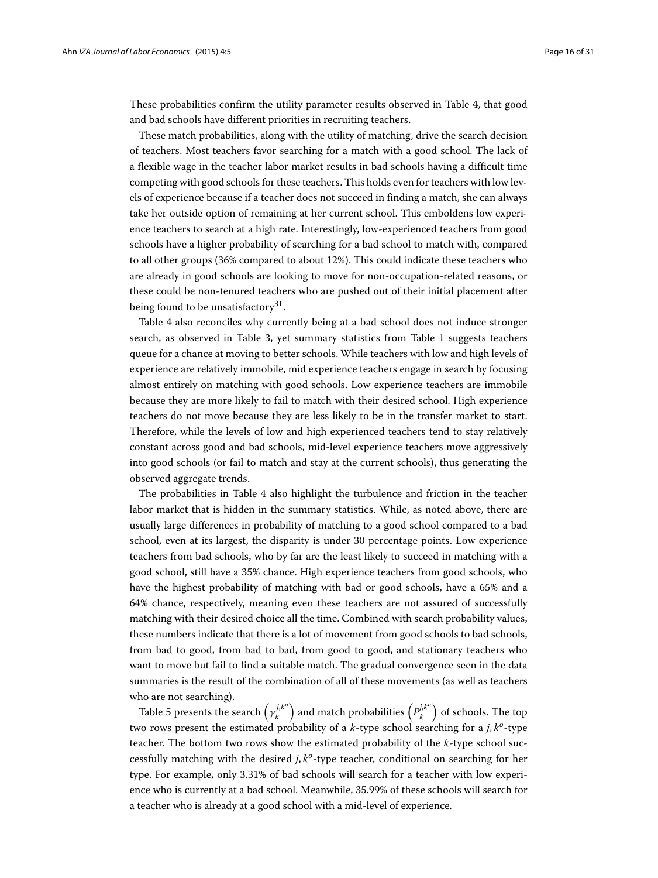These probabilities confirm the utility parameter results observed in Table [4,](#page-13-0) that good and bad schools have different priorities in recruiting teachers.

These match probabilities, along with the utility of matching, drive the search decision of teachers. Most teachers favor searching for a match with a good school. The lack of a flexible wage in the teacher labor market results in bad schools having a difficult time competing with good schools for these teachers. This holds even for teachers with low levels of experience because if a teacher does not succeed in finding a match, she can always take her outside option of remaining at her current school. This emboldens low experience teachers to search at a high rate. Interestingly, low-experienced teachers from good schools have a higher probability of searching for a bad school to match with, compared to all other groups (36% compared to about 12%). This could indicate these teachers who are already in good schools are looking to move for non-occupation-related reasons, or these could be non-tenured teachers who are pushed out of their initial placement after being found to be unsatisfactory<sup>31</sup>.

Table [4](#page-13-0) also reconciles why currently being at a bad school does not induce stronger search, as observed in Table [3,](#page-12-1) yet summary statistics from Table [1](#page-1-0) suggests teachers queue for a chance at moving to better schools. While teachers with low and high levels of experience are relatively immobile, mid experience teachers engage in search by focusing almost entirely on matching with good schools. Low experience teachers are immobile because they are more likely to fail to match with their desired school. High experience teachers do not move because they are less likely to be in the transfer market to start. Therefore, while the levels of low and high experienced teachers tend to stay relatively constant across good and bad schools, mid-level experience teachers move aggressively into good schools (or fail to match and stay at the current schools), thus generating the observed aggregate trends.

The probabilities in Table [4](#page-13-0) also highlight the turbulence and friction in the teacher labor market that is hidden in the summary statistics. While, as noted above, there are usually large differences in probability of matching to a good school compared to a bad school, even at its largest, the disparity is under 30 percentage points. Low experience teachers from bad schools, who by far are the least likely to succeed in matching with a good school, still have a 35% chance. High experience teachers from good schools, who have the highest probability of matching with bad or good schools, have a 65% and a 64% chance, respectively, meaning even these teachers are not assured of successfully matching with their desired choice all the time. Combined with search probability values, these numbers indicate that there is a lot of movement from good schools to bad schools, from bad to good, from bad to bad, from good to good, and stationary teachers who want to move but fail to find a suitable match. The gradual convergence seen in the data summaries is the result of the combination of all of these movements (as well as teachers who are not searching).

Table [5](#page-16-0) presents the search  $\left(\gamma_k^{j,k^o}\right)$ ) and match probabilities  $\left(P_k^{j,k^o}\right)$  of schools. The top two rows present the estimated probability of a *k*-type school searching for a *j*, *ko*-type teacher. The bottom two rows show the estimated probability of the *k*-type school successfully matching with the desired *j*, *ko*-type teacher, conditional on searching for her type. For example, only 3.31% of bad schools will search for a teacher with low experience who is currently at a bad school. Meanwhile, 35.99% of these schools will search for a teacher who is already at a good school with a mid-level of experience.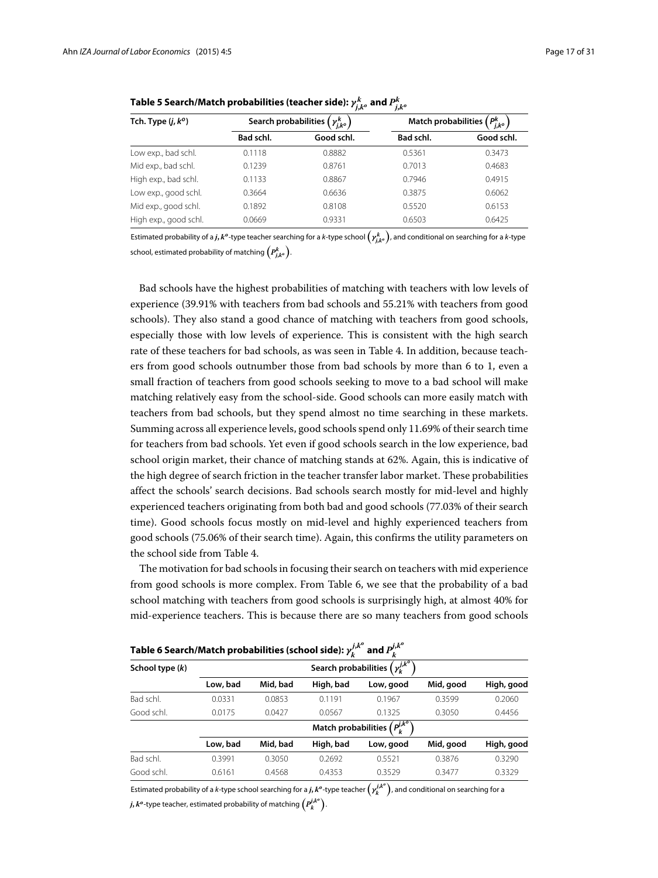<span id="page-16-0"></span>

| Tch. Type ( <i>j, k<sup>o</sup></i> ) |           | Search probabilities $(\gamma^k_{j,k^o})$ | $P_{j,k}^k$<br>Match probabilities |            |  |  |
|---------------------------------------|-----------|-------------------------------------------|------------------------------------|------------|--|--|
|                                       | Bad schl. | Good schl.                                | Bad schl.                          | Good schl. |  |  |
| Low exp., bad schl.                   | 0.1118    | 0.8882                                    | 0.5361                             | 0.3473     |  |  |
| Mid exp., bad schl.                   | 0.1239    | 0.8761                                    | 0.7013                             | 0.4683     |  |  |
| High exp., bad schl.                  | 0.1133    | 0.8867                                    | 0.7946                             | 0.4915     |  |  |
| Low exp., good schl.                  | 0.3664    | 0.6636                                    | 0.3875                             | 0.6062     |  |  |
| Mid exp., good schl.                  | 0.1892    | 0.8108                                    | 0.5520                             | 0.6153     |  |  |
| High exp., good schl.                 | 0.0669    | 0.9331                                    | 0.6503                             | 0.6425     |  |  |

| Table 5 Search/Match probabilities (teacher side): $\gamma^k_{j,k^o}$ and $P^k_{j,k^o}$ |  |  |  |  |
|-----------------------------------------------------------------------------------------|--|--|--|--|
|-----------------------------------------------------------------------------------------|--|--|--|--|

Estimated probability of a  $j$ ,  $k^o$ -type teacher searching for a  $k$ -type school  $\left(\mathcal{V}_{j,k^o}^k\right)$ , and conditional on searching for a  $k$ -type school, estimated probability of matching  $\left(P_{j,k^o}^{k}\right)$ .

Bad schools have the highest probabilities of matching with teachers with low levels of experience (39.91% with teachers from bad schools and 55.21% with teachers from good schools). They also stand a good chance of matching with teachers from good schools, especially those with low levels of experience. This is consistent with the high search rate of these teachers for bad schools, as was seen in Table [4.](#page-13-0) In addition, because teachers from good schools outnumber those from bad schools by more than 6 to 1, even a small fraction of teachers from good schools seeking to move to a bad school will make matching relatively easy from the school-side. Good schools can more easily match with teachers from bad schools, but they spend almost no time searching in these markets. Summing across all experience levels, good schools spend only 11.69% of their search time for teachers from bad schools. Yet even if good schools search in the low experience, bad school origin market, their chance of matching stands at 62%. Again, this is indicative of the high degree of search friction in the teacher transfer labor market. These probabilities affect the schools' search decisions. Bad schools search mostly for mid-level and highly experienced teachers originating from both bad and good schools (77.03% of their search time). Good schools focus mostly on mid-level and highly experienced teachers from good schools (75.06% of their search time). Again, this confirms the utility parameters on the school side from Table [4.](#page-13-0)

The motivation for bad schools in focusing their search on teachers with mid experience from good schools is more complex. From Table [6,](#page-16-1) we see that the probability of a bad school matching with teachers from good schools is surprisingly high, at almost 40% for mid-experience teachers. This is because there are so many teachers from good schools

<span id="page-16-1"></span>

| Table o search/match probabilities (school side). $\gamma_{\rm L}$<br>ally $F_L$ |                                           |          |                       |                          |           |            |  |  |  |  |
|----------------------------------------------------------------------------------|-------------------------------------------|----------|-----------------------|--------------------------|-----------|------------|--|--|--|--|
| School type (k)                                                                  | Search probabilities $(\gamma_k^{j,k^o})$ |          |                       |                          |           |            |  |  |  |  |
|                                                                                  | Low, bad                                  | Mid, bad | High, bad             | Low, good                | Mid, good | High, good |  |  |  |  |
| Bad schl.                                                                        | 0.0331                                    | 0.0853   | 0.1191                | 0.1967                   | 0.3599    | 0.2060     |  |  |  |  |
| Good schl.                                                                       | 0.0175                                    | 0.0427   | 0.0567                | 0.1325                   | 0.3050    | 0.4456     |  |  |  |  |
|                                                                                  |                                           |          | Match probabilities ( | $\overline{P_k^{j,k^o}}$ |           |            |  |  |  |  |
|                                                                                  | Low, bad                                  | Mid, bad | High, bad             | Low, good                | Mid, good | High, good |  |  |  |  |
| Bad schl.                                                                        | 0.3991                                    | 0.3050   | 0.2692                | 0.5521                   | 0.3876    | 0.3290     |  |  |  |  |
| Good schl.                                                                       | 0.6161                                    | 0.4568   | 0.4353                | 0.3529                   | 0.3477    | 0.3329     |  |  |  |  |
|                                                                                  |                                           |          |                       |                          |           |            |  |  |  |  |

| Table 6 Search/Match probabilities (school side): $\gamma_k^{j,k^o}$ and $P_k^{j,k^o}$ |  |  |
|----------------------------------------------------------------------------------------|--|--|
|----------------------------------------------------------------------------------------|--|--|

Estimated probability of a *k-*type school searching for a  $j$ ,  $k^o$ -type teacher  $\left(\gamma_k^{j,k^o}\right)$ , and conditional on searching for a  $j$ ,  $k^o$ -type teacher, estimated probability of matching  $\left( P_k^{j,k^o} \right)$ .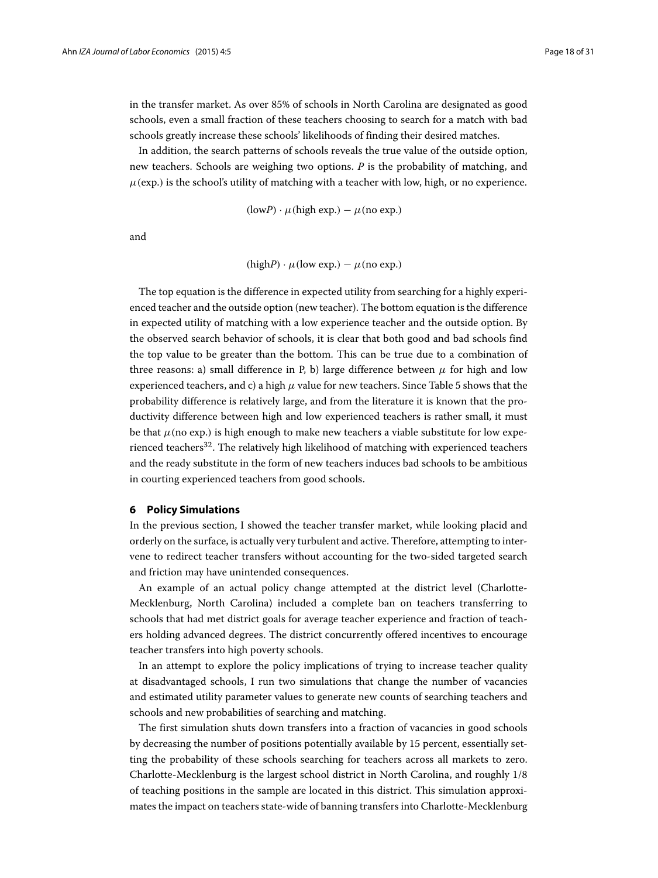in the transfer market. As over 85% of schools in North Carolina are designated as good schools, even a small fraction of these teachers choosing to search for a match with bad schools greatly increase these schools' likelihoods of finding their desired matches.

In addition, the search patterns of schools reveals the true value of the outside option, new teachers. Schools are weighing two options. *P* is the probability of matching, and  $\mu$ (exp.) is the school's utility of matching with a teacher with low, high, or no experience.

$$
(lowP) \cdot \mu(high exp.) - \mu(no exp.)
$$

and

$$
(\text{highP}) \cdot \mu(\text{low exp.}) - \mu(\text{no exp.})
$$

The top equation is the difference in expected utility from searching for a highly experienced teacher and the outside option (new teacher). The bottom equation is the difference in expected utility of matching with a low experience teacher and the outside option. By the observed search behavior of schools, it is clear that both good and bad schools find the top value to be greater than the bottom. This can be true due to a combination of three reasons: a) small difference in P, b) large difference between  $\mu$  for high and low experienced teachers, and c) a high  $\mu$  value for new teachers. Since Table [5](#page-16-0) shows that the probability difference is relatively large, and from the literature it is known that the productivity difference between high and low experienced teachers is rather small, it must be that  $\mu$ (no exp.) is high enough to make new teachers a viable substitute for low experienced teachers<sup>32</sup>. The relatively high likelihood of matching with experienced teachers and the ready substitute in the form of new teachers induces bad schools to be ambitious in courting experienced teachers from good schools.

#### <span id="page-17-0"></span>**6 Policy Simulations**

In the previous section, I showed the teacher transfer market, while looking placid and orderly on the surface, is actually very turbulent and active. Therefore, attempting to intervene to redirect teacher transfers without accounting for the two-sided targeted search and friction may have unintended consequences.

An example of an actual policy change attempted at the district level (Charlotte-Mecklenburg, North Carolina) included a complete ban on teachers transferring to schools that had met district goals for average teacher experience and fraction of teachers holding advanced degrees. The district concurrently offered incentives to encourage teacher transfers into high poverty schools.

In an attempt to explore the policy implications of trying to increase teacher quality at disadvantaged schools, I run two simulations that change the number of vacancies and estimated utility parameter values to generate new counts of searching teachers and schools and new probabilities of searching and matching.

The first simulation shuts down transfers into a fraction of vacancies in good schools by decreasing the number of positions potentially available by 15 percent, essentially setting the probability of these schools searching for teachers across all markets to zero. Charlotte-Mecklenburg is the largest school district in North Carolina, and roughly 1/8 of teaching positions in the sample are located in this district. This simulation approximates the impact on teachers state-wide of banning transfers into Charlotte-Mecklenburg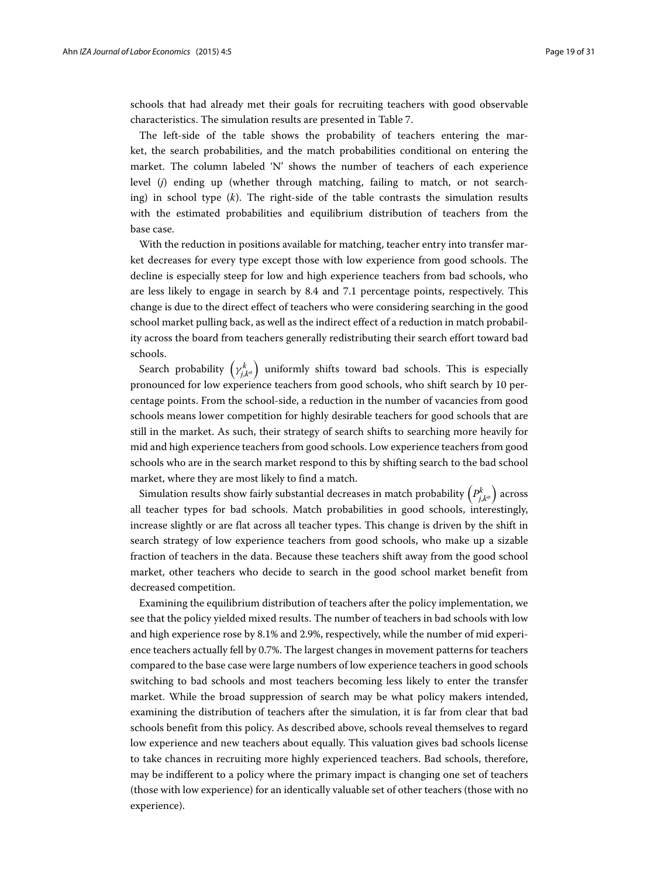schools that had already met their goals for recruiting teachers with good observable characteristics. The simulation results are presented in Table [7.](#page-19-0)

The left-side of the table shows the probability of teachers entering the market, the search probabilities, and the match probabilities conditional on entering the market. The column labeled 'N' shows the number of teachers of each experience level (*j*) ending up (whether through matching, failing to match, or not searching) in school type (*k*). The right-side of the table contrasts the simulation results with the estimated probabilities and equilibrium distribution of teachers from the base case.

With the reduction in positions available for matching, teacher entry into transfer market decreases for every type except those with low experience from good schools. The decline is especially steep for low and high experience teachers from bad schools, who are less likely to engage in search by 8.4 and 7.1 percentage points, respectively. This change is due to the direct effect of teachers who were considering searching in the good school market pulling back, as well as the indirect effect of a reduction in match probability across the board from teachers generally redistributing their search effort toward bad schools.

Search probability  $(\gamma^k_{j,k^o})$  uniformly shifts toward bad schools. This is especially pronounced for low experience teachers from good schools, who shift search by 10 percentage points. From the school-side, a reduction in the number of vacancies from good schools means lower competition for highly desirable teachers for good schools that are still in the market. As such, their strategy of search shifts to searching more heavily for mid and high experience teachers from good schools. Low experience teachers from good schools who are in the search market respond to this by shifting search to the bad school market, where they are most likely to find a match.

Simulation results show fairly substantial decreases in match probability  $\left(P_{j,k^{\sigma}}^{k}\right)$  across all teacher types for bad schools. Match probabilities in good schools, interestingly, increase slightly or are flat across all teacher types. This change is driven by the shift in search strategy of low experience teachers from good schools, who make up a sizable fraction of teachers in the data. Because these teachers shift away from the good school market, other teachers who decide to search in the good school market benefit from decreased competition.

Examining the equilibrium distribution of teachers after the policy implementation, we see that the policy yielded mixed results. The number of teachers in bad schools with low and high experience rose by 8.1% and 2.9%, respectively, while the number of mid experience teachers actually fell by 0.7%. The largest changes in movement patterns for teachers compared to the base case were large numbers of low experience teachers in good schools switching to bad schools and most teachers becoming less likely to enter the transfer market. While the broad suppression of search may be what policy makers intended, examining the distribution of teachers after the simulation, it is far from clear that bad schools benefit from this policy. As described above, schools reveal themselves to regard low experience and new teachers about equally. This valuation gives bad schools license to take chances in recruiting more highly experienced teachers. Bad schools, therefore, may be indifferent to a policy where the primary impact is changing one set of teachers (those with low experience) for an identically valuable set of other teachers (those with no experience).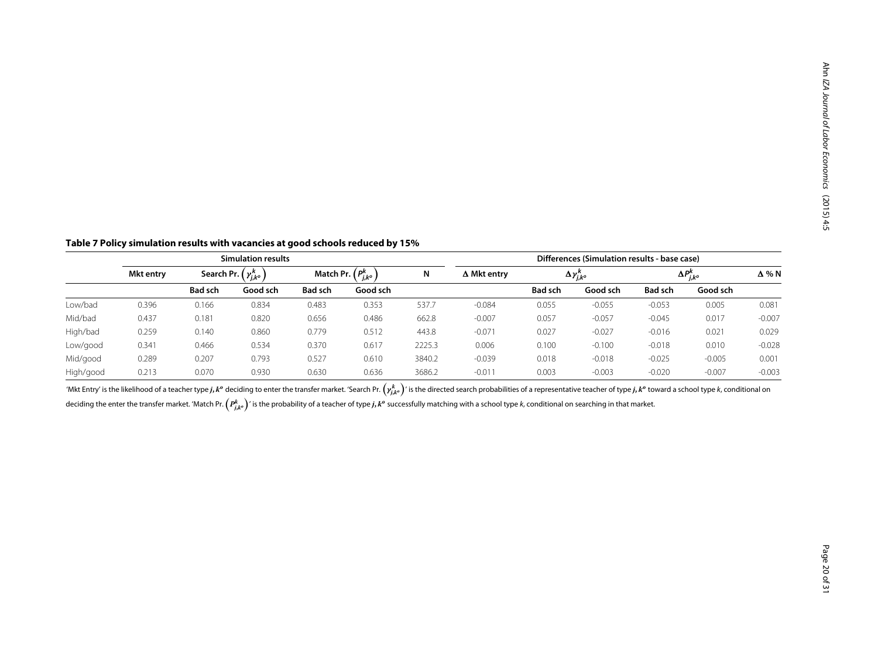**Table 7 Policy simulation results with vacancies at good schools reduced by 15%**

|           | <b>Simulation results</b> |                |                                 |                |                           |        |                    |                | Differences (Simulation results - base case) |                |                      |              |
|-----------|---------------------------|----------------|---------------------------------|----------------|---------------------------|--------|--------------------|----------------|----------------------------------------------|----------------|----------------------|--------------|
|           | Mkt entry                 |                | Search Pr. $(\gamma_{i,k^o}^k)$ |                | Match Pr. $(P_{i,k^o}^k)$ | N      | $\Delta$ Mkt entrv |                | $\Delta\gamma_{i,k^o}^{\kappa}$              |                | $\Delta P_{i,k^o}^k$ | $\Delta$ % N |
|           |                           | <b>Bad sch</b> | Good sch                        | <b>Bad sch</b> | Good sch                  |        |                    | <b>Bad sch</b> | Good sch                                     | <b>Bad sch</b> | Good sch             |              |
| Low/bad   | 0.396                     | 0.166          | 0.834                           | 0.483          | 0.353                     | 537.7  | $-0.084$           | 0.055          | $-0.055$                                     | $-0.053$       | 0.005                | 0.081        |
| Mid/bad   | 0.437                     | 0.181          | 0.820                           | 0.656          | 0.486                     | 662.8  | $-0.007$           | 0.057          | $-0.057$                                     | $-0.045$       | 0.017                | $-0.007$     |
| High/bad  | 0.259                     | 0.140          | 0.860                           | 0.779          | 0.512                     | 443.8  | $-0.071$           | 0.027          | $-0.027$                                     | $-0.016$       | 0.021                | 0.029        |
| Low/good  | 0.341                     | 0.466          | 0.534                           | 0.370          | 0.617                     | 2225.3 | 0.006              | 0.100          | $-0.100$                                     | $-0.018$       | 0.010                | $-0.028$     |
| Mid/good  | 0.289                     | 0.207          | 0.793                           | 0.527          | 0.610                     | 3840.2 | $-0.039$           | 0.018          | $-0.018$                                     | $-0.025$       | $-0.005$             | 0.001        |
| High/good | 0.213                     | 0.070          | 0.930                           | 0.630          | 0.636                     | 3686.2 | $-0.011$           | 0.003          | $-0.003$                                     | $-0.020$       | $-0.007$             | $-0.003$     |

'Mkt Entry' is the likelihood of a teacher type  $j$ ,  $k^o$  deciding to enter the transfer market. 'Search Pr.  $\left(\gamma^k_{j,k^o}\right)'$  is the directed search probabilities of a representative teacher of type  $j$ ,  $k^o$  toward a s

<span id="page-19-0"></span>deciding the enter the transfer market. 'Match Pr.  $\left(P_{j,k^o}^k\right)'$  is the probability of a teacher of type  $j,k^o$  successfully matching with a school type  $k$ , conditional on searching in that market.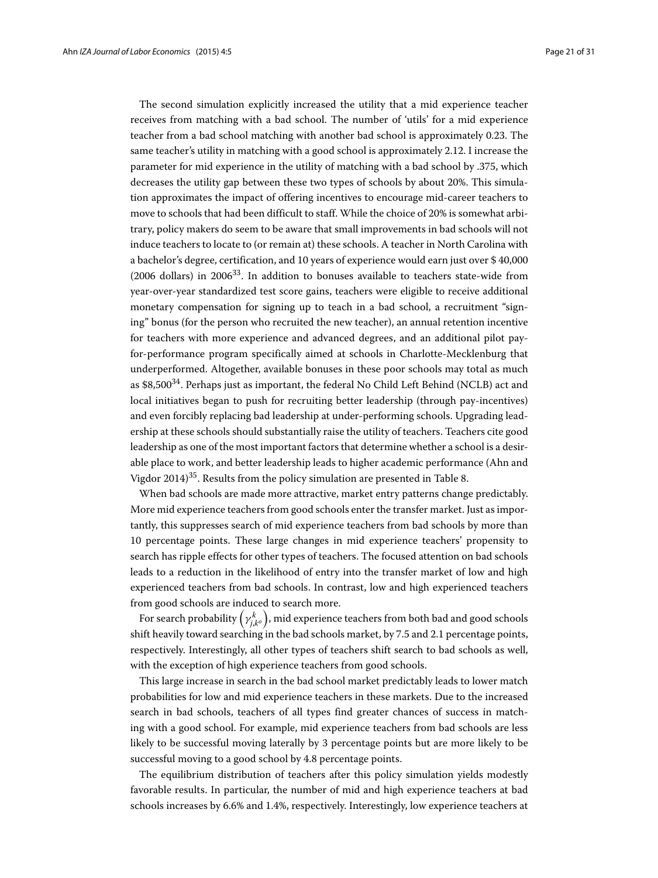The second simulation explicitly increased the utility that a mid experience teacher receives from matching with a bad school. The number of 'utils' for a mid experience teacher from a bad school matching with another bad school is approximately 0.23. The same teacher's utility in matching with a good school is approximately 2.12. I increase the parameter for mid experience in the utility of matching with a bad school by .375, which decreases the utility gap between these two types of schools by about 20%. This simulation approximates the impact of offering incentives to encourage mid-career teachers to move to schools that had been difficult to staff. While the choice of 20% is somewhat arbitrary, policy makers do seem to be aware that small improvements in bad schools will not induce teachers to locate to (or remain at) these schools. A teacher in North Carolina with a bachelor's degree, certification, and 10 years of experience would earn just over \$ 40,000  $(2006 \text{ dollars})$  in  $2006^{33}$ . In addition to bonuses available to teachers state-wide from year-over-year standardized test score gains, teachers were eligible to receive additional monetary compensation for signing up to teach in a bad school, a recruitment "signing" bonus (for the person who recruited the new teacher), an annual retention incentive for teachers with more experience and advanced degrees, and an additional pilot payfor-performance program specifically aimed at schools in Charlotte-Mecklenburg that underperformed. Altogether, available bonuses in these poor schools may total as much as  $$8,500^{34}$ . Perhaps just as important, the federal No Child Left Behind (NCLB) act and local initiatives began to push for recruiting better leadership (through pay-incentives) and even forcibly replacing bad leadership at under-performing schools. Upgrading leadership at these schools should substantially raise the utility of teachers. Teachers cite good leadership as one of the most important factors that determine whether a school is a desirable place to work, and better leadership leads to higher academic performance (Ahn and Vigdor  $2014$ <sup>35</sup>. Results from the policy simulation are presented in Table [8.](#page-21-0)

When bad schools are made more attractive, market entry patterns change predictably. More mid experience teachers from good schools enter the transfer market. Just as importantly, this suppresses search of mid experience teachers from bad schools by more than 10 percentage points. These large changes in mid experience teachers' propensity to search has ripple effects for other types of teachers. The focused attention on bad schools leads to a reduction in the likelihood of entry into the transfer market of low and high experienced teachers from bad schools. In contrast, low and high experienced teachers from good schools are induced to search more.

For search probability  $\left(\gamma_{j,k^o}^k\right)$  , mid experience teachers from both bad and good schools shift heavily toward searching in the bad schools market, by 7.5 and 2.1 percentage points, respectively. Interestingly, all other types of teachers shift search to bad schools as well, with the exception of high experience teachers from good schools.

This large increase in search in the bad school market predictably leads to lower match probabilities for low and mid experience teachers in these markets. Due to the increased search in bad schools, teachers of all types find greater chances of success in matching with a good school. For example, mid experience teachers from bad schools are less likely to be successful moving laterally by 3 percentage points but are more likely to be successful moving to a good school by 4.8 percentage points.

The equilibrium distribution of teachers after this policy simulation yields modestly favorable results. In particular, the number of mid and high experience teachers at bad schools increases by 6.6% and 1.4%, respectively. Interestingly, low experience teachers at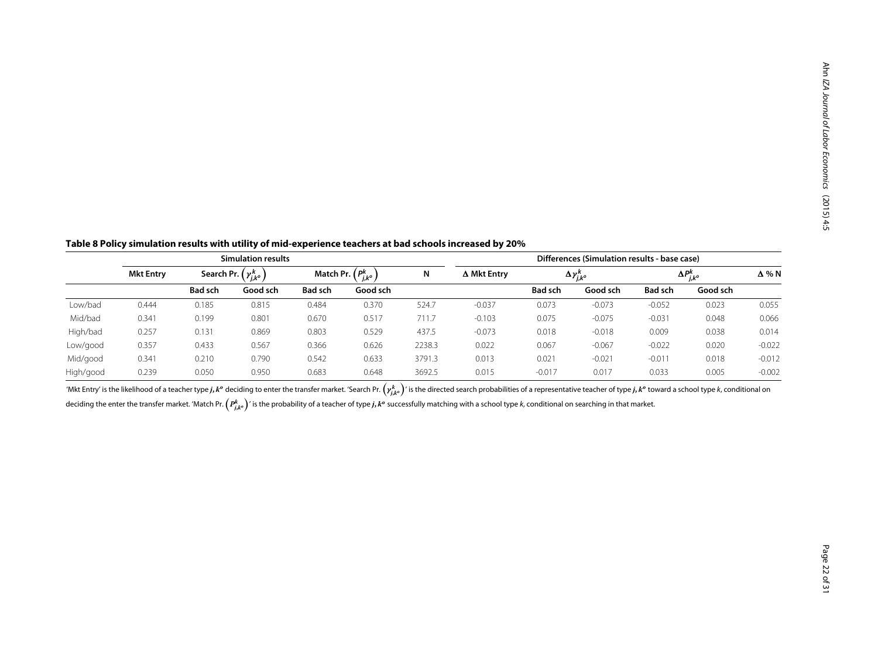**Table 8 Policy simulation results with utility of mid-experience teachers at bad schools increased by 20%**

|           | <b>Simulation results</b> |                |                                            |                |                           |        |                    | Differences (Simulation results - base case) |                                 |                |                    |              |
|-----------|---------------------------|----------------|--------------------------------------------|----------------|---------------------------|--------|--------------------|----------------------------------------------|---------------------------------|----------------|--------------------|--------------|
|           | <b>Mkt Entry</b>          |                | Search Pr. $\left(\gamma^k_{j,k^o}\right)$ |                | Match Pr. $(P_{j,k^o}^k)$ | N      | $\Delta$ Mkt Entrv |                                              | $\Delta\gamma_{i,k^o}^{\kappa}$ |                | $\Delta P^k_{i,k}$ | $\Delta$ % N |
|           |                           | <b>Bad sch</b> | Good sch                                   | <b>Bad sch</b> | Good sch                  |        |                    | <b>Bad sch</b>                               | Good sch                        | <b>Bad sch</b> | Good sch           |              |
| Low/bad   | 0.444                     | 0.185          | 0.815                                      | 0.484          | 0.370                     | 524.7  | $-0.037$           | 0.073                                        | $-0.073$                        | $-0.052$       | 0.023              | 0.055        |
| Mid/bad   | 0.341                     | 0.199          | 0.801                                      | 0.670          | 0.517                     | 711.7  | $-0.103$           | 0.075                                        | $-0.075$                        | $-0.031$       | 0.048              | 0.066        |
| High/bad  | 0.257                     | 0.131          | 0.869                                      | 0.803          | 0.529                     | 437.5  | $-0.073$           | 0.018                                        | $-0.018$                        | 0.009          | 0.038              | 0.014        |
| Low/good  | 0.357                     | 0.433          | 0.567                                      | 0.366          | 0.626                     | 2238.3 | 0.022              | 0.067                                        | $-0.067$                        | $-0.022$       | 0.020              | $-0.022$     |
| Mid/good  | 0.341                     | 0.210          | 0.790                                      | 0.542          | 0.633                     | 3791.3 | 0.013              | 0.021                                        | $-0.021$                        | $-0.01$        | 0.018              | $-0.012$     |
| High/good | 0.239                     | 0.050          | 0.950                                      | 0.683          | 0.648                     | 3692.5 | 0.015              | $-0.017$                                     | 0.017                           | 0.033          | 0.005              | $-0.002$     |

<span id="page-21-0"></span>'Mkt Entry' is the likelihood of a teacher type  $j$ ,  $k^o$  deciding to enter the transfer market. 'Search Pr.  $\left(\gamma^k_{j,k^o}\right)'$  is the directed search probabilities of a representative teacher of type  $j$ ,  $k^o$  toward a s deciding the enter the transfer market. 'Match Pr.  $\left(P_{j,k^o}^k\right)'$  is the probability of a teacher of type  $j,k^o$  successfully matching with a school type  $k$ , conditional on searching in that market.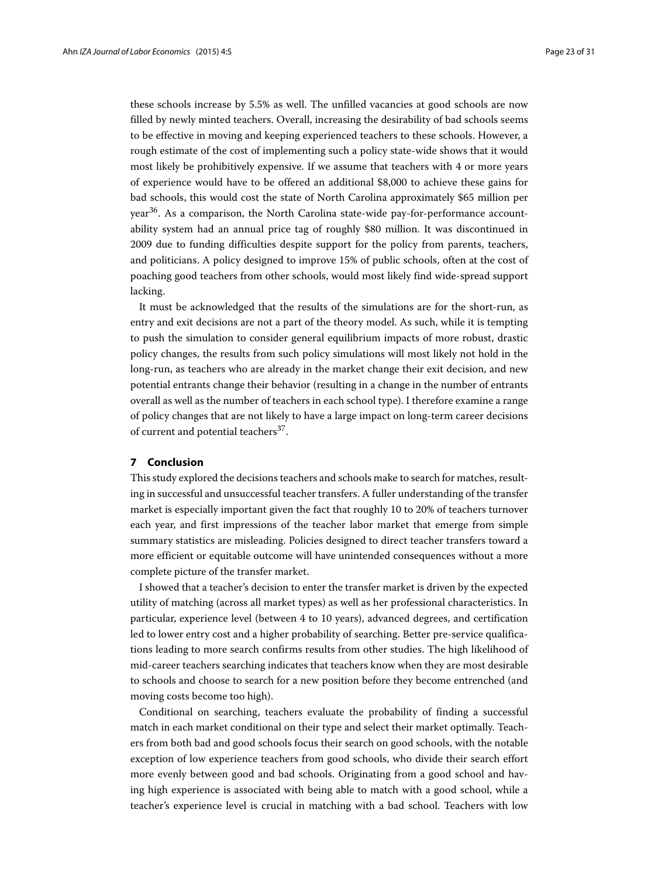these schools increase by 5.5% as well. The unfilled vacancies at good schools are now filled by newly minted teachers. Overall, increasing the desirability of bad schools seems to be effective in moving and keeping experienced teachers to these schools. However, a rough estimate of the cost of implementing such a policy state-wide shows that it would most likely be prohibitively expensive. If we assume that teachers with 4 or more years of experience would have to be offered an additional \$8,000 to achieve these gains for bad schools, this would cost the state of North Carolina approximately \$65 million per year<sup>36</sup>. As a comparison, the North Carolina state-wide pay-for-performance accountability system had an annual price tag of roughly \$80 million. It was discontinued in 2009 due to funding difficulties despite support for the policy from parents, teachers, and politicians. A policy designed to improve 15% of public schools, often at the cost of poaching good teachers from other schools, would most likely find wide-spread support lacking.

It must be acknowledged that the results of the simulations are for the short-run, as entry and exit decisions are not a part of the theory model. As such, while it is tempting to push the simulation to consider general equilibrium impacts of more robust, drastic policy changes, the results from such policy simulations will most likely not hold in the long-run, as teachers who are already in the market change their exit decision, and new potential entrants change their behavior (resulting in a change in the number of entrants overall as well as the number of teachers in each school type). I therefore examine a range of policy changes that are not likely to have a large impact on long-term career decisions of current and potential teachers<sup>37</sup>.

#### <span id="page-22-0"></span>**7 Conclusion**

This study explored the decisions teachers and schools make to search for matches, resulting in successful and unsuccessful teacher transfers. A fuller understanding of the transfer market is especially important given the fact that roughly 10 to 20% of teachers turnover each year, and first impressions of the teacher labor market that emerge from simple summary statistics are misleading. Policies designed to direct teacher transfers toward a more efficient or equitable outcome will have unintended consequences without a more complete picture of the transfer market.

I showed that a teacher's decision to enter the transfer market is driven by the expected utility of matching (across all market types) as well as her professional characteristics. In particular, experience level (between 4 to 10 years), advanced degrees, and certification led to lower entry cost and a higher probability of searching. Better pre-service qualifications leading to more search confirms results from other studies. The high likelihood of mid-career teachers searching indicates that teachers know when they are most desirable to schools and choose to search for a new position before they become entrenched (and moving costs become too high).

Conditional on searching, teachers evaluate the probability of finding a successful match in each market conditional on their type and select their market optimally. Teachers from both bad and good schools focus their search on good schools, with the notable exception of low experience teachers from good schools, who divide their search effort more evenly between good and bad schools. Originating from a good school and having high experience is associated with being able to match with a good school, while a teacher's experience level is crucial in matching with a bad school. Teachers with low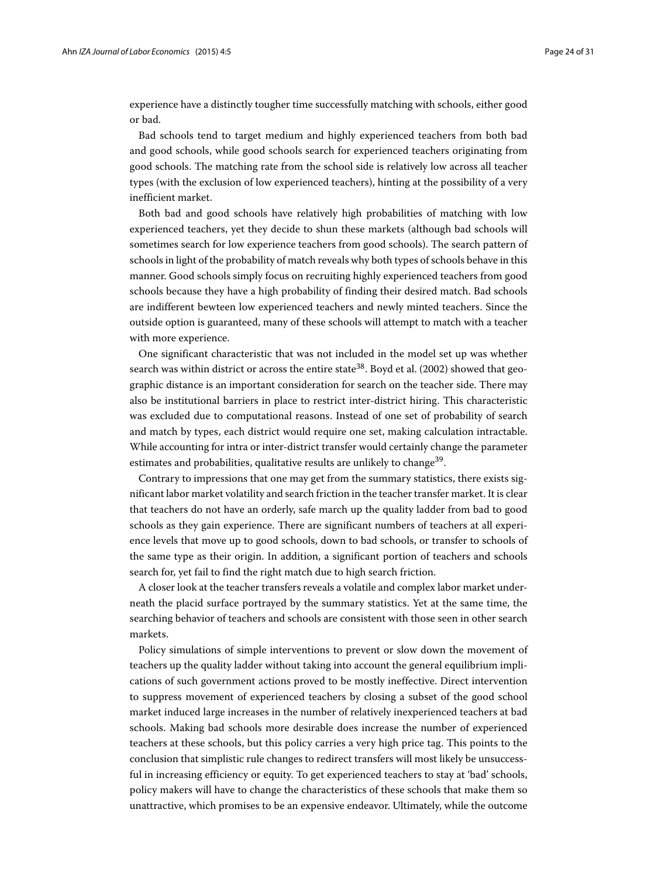experience have a distinctly tougher time successfully matching with schools, either good or bad.

Bad schools tend to target medium and highly experienced teachers from both bad and good schools, while good schools search for experienced teachers originating from good schools. The matching rate from the school side is relatively low across all teacher types (with the exclusion of low experienced teachers), hinting at the possibility of a very inefficient market.

Both bad and good schools have relatively high probabilities of matching with low experienced teachers, yet they decide to shun these markets (although bad schools will sometimes search for low experience teachers from good schools). The search pattern of schools in light of the probability of match reveals why both types of schools behave in this manner. Good schools simply focus on recruiting highly experienced teachers from good schools because they have a high probability of finding their desired match. Bad schools are indifferent bewteen low experienced teachers and newly minted teachers. Since the outside option is guaranteed, many of these schools will attempt to match with a teacher with more experience.

One significant characteristic that was not included in the model set up was whether search was within district or across the entire state<sup>38</sup>. Boyd et al. [\(2002\)](#page-29-0) showed that geographic distance is an important consideration for search on the teacher side. There may also be institutional barriers in place to restrict inter-district hiring. This characteristic was excluded due to computational reasons. Instead of one set of probability of search and match by types, each district would require one set, making calculation intractable. While accounting for intra or inter-district transfer would certainly change the parameter estimates and probabilities, qualitative results are unlikely to change  $39$ .

Contrary to impressions that one may get from the summary statistics, there exists significant labor market volatility and search friction in the teacher transfer market. It is clear that teachers do not have an orderly, safe march up the quality ladder from bad to good schools as they gain experience. There are significant numbers of teachers at all experience levels that move up to good schools, down to bad schools, or transfer to schools of the same type as their origin. In addition, a significant portion of teachers and schools search for, yet fail to find the right match due to high search friction.

A closer look at the teacher transfers reveals a volatile and complex labor market underneath the placid surface portrayed by the summary statistics. Yet at the same time, the searching behavior of teachers and schools are consistent with those seen in other search markets.

Policy simulations of simple interventions to prevent or slow down the movement of teachers up the quality ladder without taking into account the general equilibrium implications of such government actions proved to be mostly ineffective. Direct intervention to suppress movement of experienced teachers by closing a subset of the good school market induced large increases in the number of relatively inexperienced teachers at bad schools. Making bad schools more desirable does increase the number of experienced teachers at these schools, but this policy carries a very high price tag. This points to the conclusion that simplistic rule changes to redirect transfers will most likely be unsuccessful in increasing efficiency or equity. To get experienced teachers to stay at 'bad' schools, policy makers will have to change the characteristics of these schools that make them so unattractive, which promises to be an expensive endeavor. Ultimately, while the outcome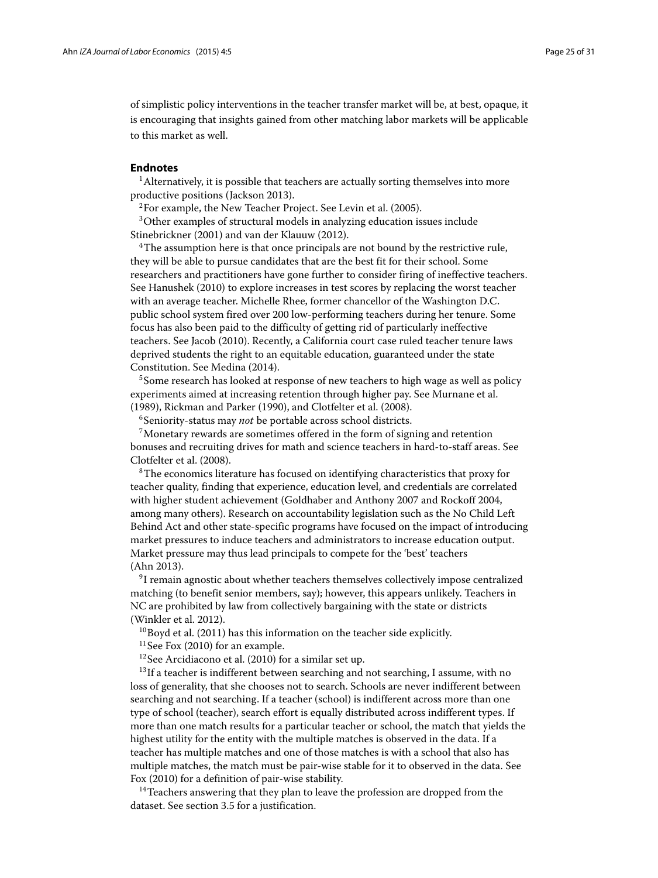of simplistic policy interventions in the teacher transfer market will be, at best, opaque, it is encouraging that insights gained from other matching labor markets will be applicable to this market as well.

#### **Endnotes**

<sup>1</sup> Alternatively, it is possible that teachers are actually sorting themselves into more productive positions (Jackson [2013\)](#page-30-3).

 $2^2$ For example, the New Teacher Project. See Levin et al. [\(2005\)](#page-30-4).

3Other examples of structural models in analyzing education issues include Stinebrickner [\(2001\)](#page-30-5) and van der Klauuw [\(2012\)](#page-30-6).

<sup>4</sup>The assumption here is that once principals are not bound by the restrictive rule, they will be able to pursue candidates that are the best fit for their school. Some researchers and practitioners have gone further to consider firing of ineffective teachers. See Hanushek (2010) to explore increases in test scores by replacing the worst teacher with an average teacher. Michelle Rhee, former chancellor of the Washington D.C. public school system fired over 200 low-performing teachers during her tenure. Some focus has also been paid to the difficulty of getting rid of particularly ineffective teachers. See Jacob [\(2010\)](#page-30-7). Recently, a California court case ruled teacher tenure laws deprived students the right to an equitable education, guaranteed under the state Constitution. See Medina [\(2014\)](#page-30-8).

<sup>5</sup> Some research has looked at response of new teachers to high wage as well as policy experiments aimed at increasing retention through higher pay. See Murnane et al. [\(1989\)](#page-30-9), Rickman and Parker [\(1990\)](#page-30-10), and Clotfelter et al. [\(2008\)](#page-29-5).

6Seniority-status may *not* be portable across school districts.

7Monetary rewards are sometimes offered in the form of signing and retention bonuses and recruiting drives for math and science teachers in hard-to-staff areas. See Clotfelter et al. [\(2008\)](#page-29-5).

8The economics literature has focused on identifying characteristics that proxy for teacher quality, finding that experience, education level, and credentials are correlated with higher student achievement (Goldhaber and Anthony [2007](#page-30-11) and Rockoff [2004,](#page-30-12) among many others). Research on accountability legislation such as the No Child Left Behind Act and other state-specific programs have focused on the impact of introducing market pressures to induce teachers and administrators to increase education output. Market pressure may thus lead principals to compete for the 'best' teachers (Ahn [2013\)](#page-29-6).

<sup>9</sup>I remain agnostic about whether teachers themselves collectively impose centralized matching (to benefit senior members, say); however, this appears unlikely. Teachers in NC are prohibited by law from collectively bargaining with the state or districts (Winkler et al. [2012\)](#page-30-13).

 $10B$ oyd et al. [\(2011\)](#page-29-3) has this information on the teacher side explicitly.

 $11$ See Fox [\(2010\)](#page-30-14) for an example.

12See Arcidiacono et al. [\(2010\)](#page-29-7) for a similar set up.

 $13$ If a teacher is indifferent between searching and not searching, I assume, with no loss of generality, that she chooses not to search. Schools are never indifferent between searching and not searching. If a teacher (school) is indifferent across more than one type of school (teacher), search effort is equally distributed across indifferent types. If more than one match results for a particular teacher or school, the match that yields the highest utility for the entity with the multiple matches is observed in the data. If a teacher has multiple matches and one of those matches is with a school that also has multiple matches, the match must be pair-wise stable for it to observed in the data. See Fox [\(2010\)](#page-30-14) for a definition of pair-wise stability.

 $14$  Teachers answering that they plan to leave the profession are dropped from the dataset. See section [3.5](#page-9-0) for a justification.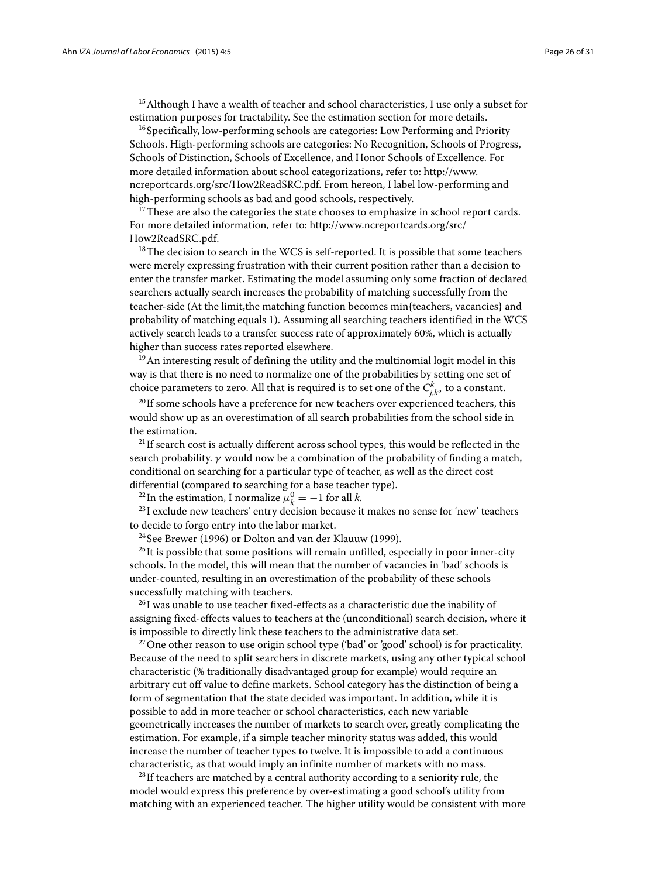<sup>15</sup> Although I have a wealth of teacher and school characteristics, I use only a subset for estimation purposes for tractability. See the estimation section for more details.

<sup>16</sup>Specifically, low-performing schools are categories: Low Performing and Priority Schools. High-performing schools are categories: No Recognition, Schools of Progress, Schools of Distinction, Schools of Excellence, and Honor Schools of Excellence. For more detailed information about school categorizations, refer to: [http://www.](http://www.ncreportcards.org/src/How2ReadSRC.pdf) [ncreportcards.org/src/How2ReadSRC.pdf.](http://www.ncreportcards.org/src/How2ReadSRC.pdf) From hereon, I label low-performing and high-performing schools as bad and good schools, respectively.

 $17$ These are also the categories the state chooses to emphasize in school report cards. For more detailed information, refer to: [http://www.ncreportcards.org/src/](http://www.ncreportcards.org/src/How2ReadSRC.pdf) [How2ReadSRC.pdf.](http://www.ncreportcards.org/src/How2ReadSRC.pdf)

 $18$ The decision to search in the WCS is self-reported. It is possible that some teachers were merely expressing frustration with their current position rather than a decision to enter the transfer market. Estimating the model assuming only some fraction of declared searchers actually search increases the probability of matching successfully from the teacher-side (At the limit,the matching function becomes min{teachers, vacancies} and probability of matching equals 1). Assuming all searching teachers identified in the WCS actively search leads to a transfer success rate of approximately 60%, which is actually higher than success rates reported elsewhere.

 $19$ An interesting result of defining the utility and the multinomial logit model in this way is that there is no need to normalize one of the probabilities by setting one set of choice parameters to zero. All that is required is to set one of the  $C^k_{j,k^o}$  to a constant.

<sup>20</sup>If some schools have a preference for new teachers over experienced teachers, this would show up as an overestimation of all search probabilities from the school side in the estimation.

 $^{21}$ If search cost is actually different across school types, this would be reflected in the search probability.  $\gamma$  would now be a combination of the probability of finding a match, conditional on searching for a particular type of teacher, as well as the direct cost differential (compared to searching for a base teacher type).

<sup>22</sup>In the estimation, I normalize  $\mu_k^0 = -1$  for all k.

<sup>23</sup>I exclude new teachers' entry decision because it makes no sense for 'new' teachers to decide to forgo entry into the labor market.

24See Brewer [\(1996\)](#page-29-8) or Dolton and van der Klauuw [\(1999\)](#page-30-15).

 $25$ It is possible that some positions will remain unfilled, especially in poor inner-city schools. In the model, this will mean that the number of vacancies in 'bad' schools is under-counted, resulting in an overestimation of the probability of these schools successfully matching with teachers.

 $^{26}$ I was unable to use teacher fixed-effects as a characteristic due the inability of assigning fixed-effects values to teachers at the (unconditional) search decision, where it is impossible to directly link these teachers to the administrative data set.

<sup>27</sup>One other reason to use origin school type ('bad' or 'good' school) is for practicality. Because of the need to split searchers in discrete markets, using any other typical school characteristic (% traditionally disadvantaged group for example) would require an arbitrary cut off value to define markets. School category has the distinction of being a form of segmentation that the state decided was important. In addition, while it is possible to add in more teacher or school characteristics, each new variable geometrically increases the number of markets to search over, greatly complicating the estimation. For example, if a simple teacher minority status was added, this would increase the number of teacher types to twelve. It is impossible to add a continuous characteristic, as that would imply an infinite number of markets with no mass.

 $28$ If teachers are matched by a central authority according to a seniority rule, the model would express this preference by over-estimating a good school's utility from matching with an experienced teacher. The higher utility would be consistent with more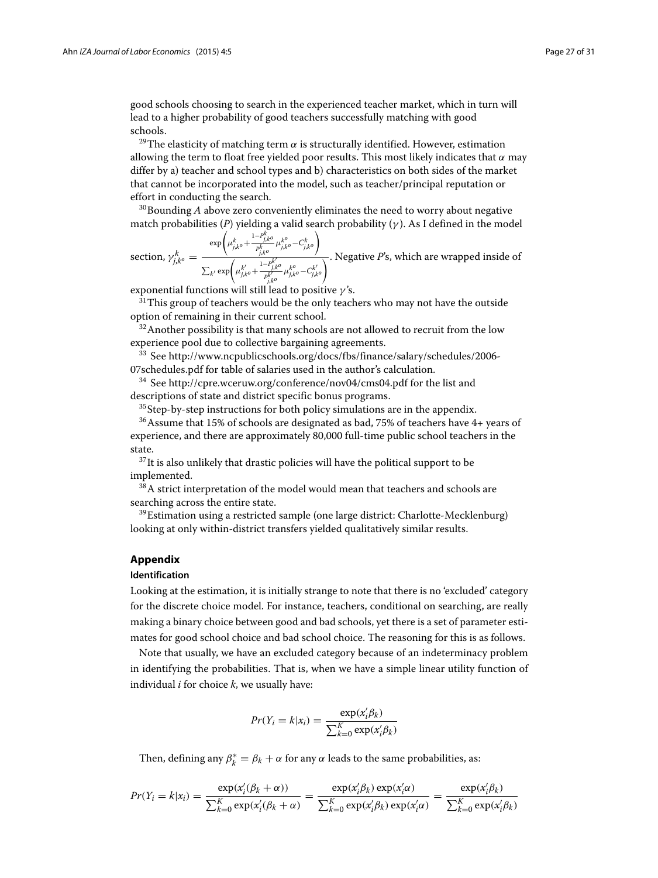good schools choosing to search in the experienced teacher market, which in turn will lead to a higher probability of good teachers successfully matching with good schools.

<sup>29</sup>The elasticity of matching term  $\alpha$  is structurally identified. However, estimation allowing the term to float free yielded poor results. This most likely indicates that  $\alpha$  may differ by a) teacher and school types and b) characteristics on both sides of the market that cannot be incorporated into the model, such as teacher/principal reputation or effort in conducting the search.

<sup>30</sup>Bounding *A* above zero conveniently eliminates the need to worry about negative match probabilities  $(P)$  yielding a valid search probability  $(\gamma)$ . As I defined in the model

section,  $\gamma^k_{j,k^o} =$  $\exp\left(\mu_{j,k^o}^k + \frac{1-P_{j,k^o}^k}{p^k}\right)$ *Pk j*,*ko* μ*ko j*,*ko*−*C<sup>k</sup> j*,*ko*  $\overline{ }$  $\sum_{k'} \exp\left(\mu_{j,k'}^{k'} - \frac{1-P_{j,k'}^{k'}}{p^{k'}}\right)$ *Pk j*,*ko* <sup>μ</sup>*ko j*,*ko*−*Ck j*,*ko*  $\frac{1}{\lambda}$  . Negative  $P$ 's, which are wrapped inside of

exponential functions will still lead to positive  $\gamma$ 's.

 $31$ This group of teachers would be the only teachers who may not have the outside option of remaining in their current school.

 $32$ Another possibility is that many schools are not allowed to recruit from the low experience pool due to collective bargaining agreements.

<sup>33</sup> See [http://www.ncpublicschools.org/docs/fbs/finance/salary/schedules/2006-](http://www.ncpublicschools.org/docs/fbs/finance/salary/schedules/2006-07schedules.pdf) [07schedules.pdf](http://www.ncpublicschools.org/docs/fbs/finance/salary/schedules/2006-07schedules.pdf) for table of salaries used in the author's calculation.

 $34$  See<http://cpre.wceruw.org/conference/nov04/cms04.pdf> for the list and descriptions of state and district specific bonus programs.

<sup>35</sup>Step-by-step instructions for both policy simulations are in the appendix.

36Assume that 15% of schools are designated as bad, 75% of teachers have 4+ years of experience, and there are approximately 80,000 full-time public school teachers in the state.

 $37$  It is also unlikely that drastic policies will have the political support to be implemented.

38A strict interpretation of the model would mean that teachers and schools are searching across the entire state.

<sup>39</sup>Estimation using a restricted sample (one large district: Charlotte-Mecklenburg) looking at only within-district transfers yielded qualitatively similar results.

#### **Appendix**

#### **Identification**

Looking at the estimation, it is initially strange to note that there is no 'excluded' category for the discrete choice model. For instance, teachers, conditional on searching, are really making a binary choice between good and bad schools, yet there is a set of parameter estimates for good school choice and bad school choice. The reasoning for this is as follows.

Note that usually, we have an excluded category because of an indeterminacy problem in identifying the probabilities. That is, when we have a simple linear utility function of individual *i* for choice *k*, we usually have:

$$
Pr(Y_i = k | x_i) = \frac{\exp(x_i' \beta_k)}{\sum_{k=0}^{K} \exp(x_i' \beta_k)}
$$

Then, defining any  $\beta_k^* = \beta_k + \alpha$  for any  $\alpha$  leads to the same probabilities, as:

$$
Pr(Y_i = k | x_i) = \frac{\exp(x_i'(\beta_k + \alpha))}{\sum_{k=0}^K \exp(x_i'(\beta_k + \alpha))} = \frac{\exp(x_i' \beta_k) \exp(x_i' \alpha)}{\sum_{k=0}^K \exp(x_i' \beta_k) \exp(x_i' \alpha)} = \frac{\exp(x_i' \beta_k)}{\sum_{k=0}^K \exp(x_i' \beta_k)}
$$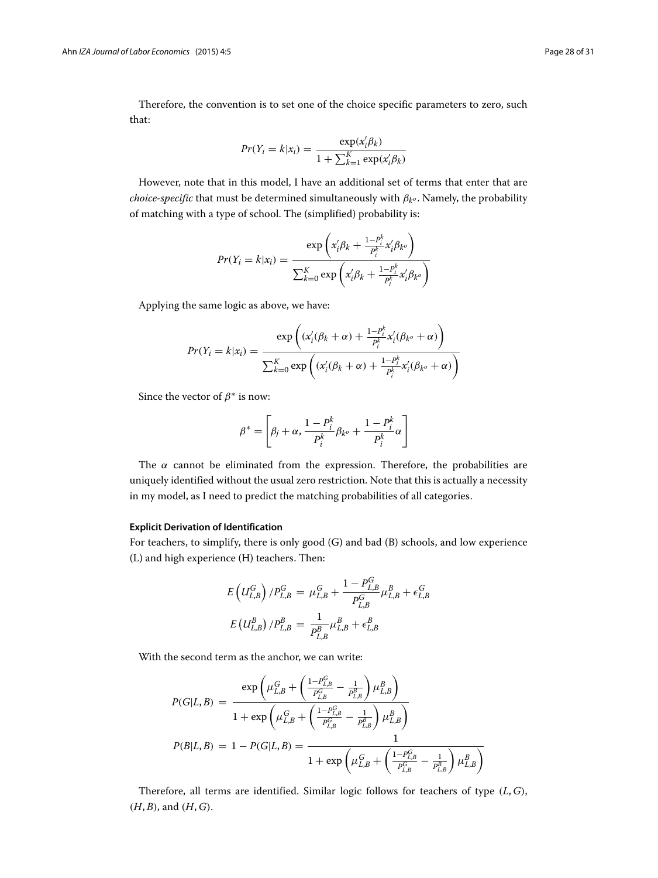Therefore, the convention is to set one of the choice specific parameters to zero, such that:

$$
Pr(Y_i = k | x_i) = \frac{\exp(x'_i \beta_k)}{1 + \sum_{k=1}^K \exp(x'_i \beta_k)}
$$

However, note that in this model, I have an additional set of terms that enter that are *choice-specific* that must be determined simultaneously with  $\beta_{k^o}$ . Namely, the probability of matching with a type of school. The (simplified) probability is:

$$
Pr(Y_i = k | x_i) = \frac{\exp\left(x_i'\beta_k + \frac{1 - P_i^k}{P_i^k}x_i'\beta_{k^o}\right)}{\sum_{k=0}^K \exp\left(x_i'\beta_k + \frac{1 - P_i^k}{P_i^k}x_i'\beta_{k^o}\right)}
$$

Applying the same logic as above, we have:

$$
Pr(Y_i = k | x_i) = \frac{\exp\left((x_i'(\beta_k + \alpha) + \frac{1 - P_i^k}{P_i^k} x_i'(\beta_{k^o} + \alpha)\right)}{\sum_{k=0}^K \exp\left((x_i'(\beta_k + \alpha) + \frac{1 - P_i^k}{P_i^k} x_i'(\beta_{k^o} + \alpha)\right)}
$$

Since the vector of  $\beta^*$  is now:

$$
\beta^* = \left[\beta_j + \alpha, \frac{1 - P_i^k}{P_i^k} \beta_{k^o} + \frac{1 - P_i^k}{P_i^k} \alpha\right]
$$

The  $\alpha$  cannot be eliminated from the expression. Therefore, the probabilities are uniquely identified without the usual zero restriction. Note that this is actually a necessity in my model, as I need to predict the matching probabilities of all categories.

#### **Explicit Derivation of Identification**

For teachers, to simplify, there is only good (G) and bad (B) schools, and low experience (L) and high experience (H) teachers. Then:

$$
E\left(U_{L,B}^G\right)/P_{L,B}^G = \mu_{L,B}^G + \frac{1 - P_{L,B}^G}{P_{L,B}^G} \mu_{L,B}^B + \epsilon_{L,B}^G
$$

$$
E\left(U_{L,B}^B\right)/P_{L,B}^B = \frac{1}{P_{L,B}^B} \mu_{L,B}^B + \epsilon_{L,B}^B
$$

With the second term as the anchor, we can write:

$$
P(G|L, B) = \frac{\exp\left(\mu_{L,B}^G + \left(\frac{1 - P_{L,B}^G}{P_{L,B}^G} - \frac{1}{P_{L,B}^B}\right)\mu_{L,B}^B\right)}{1 + \exp\left(\mu_{L,B}^G + \left(\frac{1 - P_{L,B}^G}{P_{L,B}^G} - \frac{1}{P_{L,B}^B}\right)\mu_{L,B}^B\right)}
$$
  

$$
P(B|L, B) = 1 - P(G|L, B) = \frac{1}{1 + \exp\left(\mu_{L,B}^G + \left(\frac{1 - P_{L,B}^G}{P_{L,B}^G} - \frac{1}{P_{L,B}^B}\right)\mu_{L,B}^B\right)}
$$

Therefore, all terms are identified. Similar logic follows for teachers of type (*L*, *G*), (*H*, *B*), and (*H*, *G*).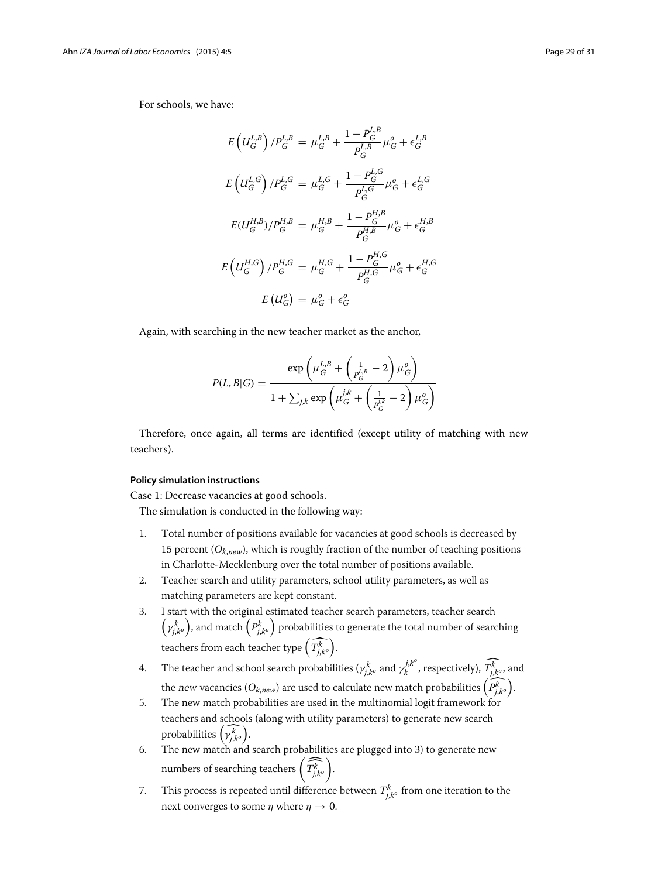For schools, we have:

$$
E\left(U_G^{L,B}\right)/P_G^{L,B} = \mu_G^{L,B} + \frac{1 - P_G^{L,B}}{P_G^{L,B}} \mu_G^o + \epsilon_G^{L,B}
$$
\n
$$
E\left(U_G^{L,G}\right)/P_G^{L,G} = \mu_G^{L,G} + \frac{1 - P_G^{L,G}}{P_G^{L,G}} \mu_G^o + \epsilon_G^{L,G}
$$
\n
$$
E(U_G^{H,B})/P_G^{H,B} = \mu_G^{H,B} + \frac{1 - P_G^{H,B}}{P_G^{H,B}} \mu_G^o + \epsilon_G^{H,B}
$$
\n
$$
E\left(U_G^{H,G}\right)/P_G^{H,G} = \mu_G^{H,G} + \frac{1 - P_G^{H,G}}{P_G^{H,G}} \mu_G^o + \epsilon_G^{H,G}
$$
\n
$$
E\left(U_G^o\right) = \mu_G^o + \epsilon_G^o
$$

Again, with searching in the new teacher market as the anchor,

$$
P(L, B|G) = \frac{\exp\left(\mu_G^{L,B} + \left(\frac{1}{p_G^{L,B}} - 2\right)\mu_G^o\right)}{1 + \sum_{j,k} \exp\left(\mu_G^{j,k} + \left(\frac{1}{p_G^{j,k}} - 2\right)\mu_G^o\right)}
$$

Therefore, once again, all terms are identified (except utility of matching with new teachers).

#### **Policy simulation instructions**

Case 1: Decrease vacancies at good schools.

The simulation is conducted in the following way:

- 1. Total number of positions available for vacancies at good schools is decreased by 15 percent  $(O_{k,new})$ , which is roughly fraction of the number of teaching positions in Charlotte-Mecklenburg over the total number of positions available.
- 2. Teacher search and utility parameters, school utility parameters, as well as matching parameters are kept constant.
- 3. I start with the original estimated teacher search parameters, teacher search  $\left(\gamma_{j,k^o}^k\right)$ ), and match  $\left(P_{j,k^o}^k\right)$  probabilities to generate the total number of searching teachers from each teacher type  $\left(\widehat{T^k_{j,k^o}}\right)$ .
- 4. The teacher and school search probabilities ( $\gamma^{k}_{j,k^o}$  and  $\gamma^{j,k^o}_k$ , respectively),  $\widehat{T^k_{j,k^o}}$ , and the *new* vacancies ( $O_{k,new}$ ) are used to calculate new match probabilities  $\left(\widehat{P_{j,k^o}^k}\right)$ .
- 5. The new match probabilities are used in the multinomial logit framework for teachers and schools (along with utility parameters) to generate new search probabilities  $\left(\widehat{\gamma^k_{j,k^o}}\right)$ .
- 6. The new match and search probabilities are plugged into 3) to generate new numbers of searching teachers  $\left(\widehat{T_{j,k^o}^k}\right)$  $\overline{ }$ .
- 7. This process is repeated until difference between  $T^k_{j,k^o}$  from one iteration to the next converges to some  $\eta$  where  $\eta \to 0$ .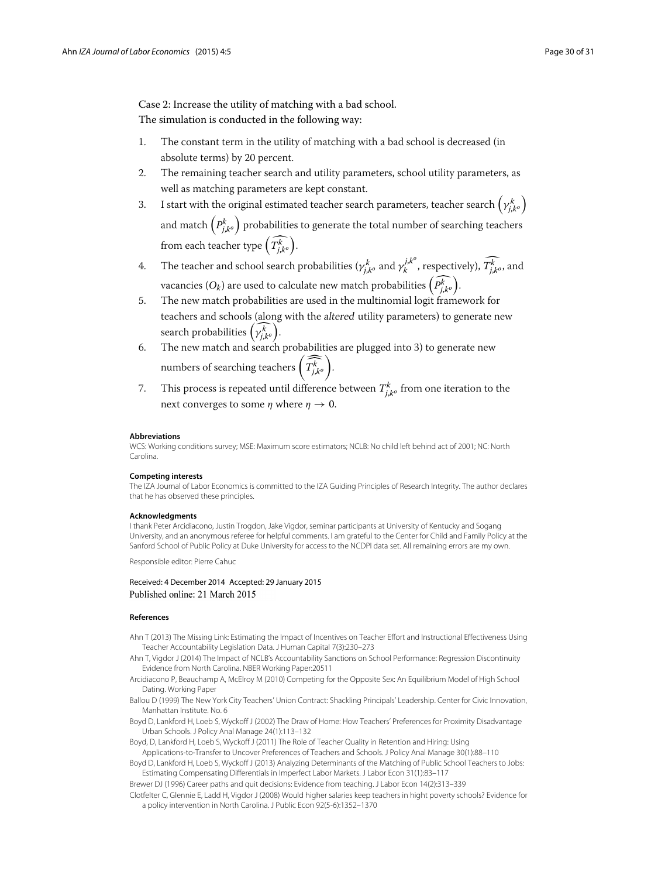Case 2: Increase the utility of matching with a bad school. The simulation is conducted in the following way:

- 1. The constant term in the utility of matching with a bad school is decreased (in absolute terms) by 20 percent.
- 2. The remaining teacher search and utility parameters, school utility parameters, as well as matching parameters are kept constant.
- 3. I start with the original estimated teacher search parameters, teacher search  $\left(\gamma^{k}_{j,k}$  $\overline{ }$ and match  $\left(P_{j,k^o}^k\right)$  probabilities to generate the total number of searching teachers from each teacher type  $\left(\widehat{T^k_{j,k^o}}\right)$ .
- 4. The teacher and school search probabilities ( $\gamma^k_{j,k^o}$  and  $\gamma^{j,k^o}_k$ , respectively),  $\widehat{T^k_{j,k^o}}$ , and vacancies ( $O_k$ ) are used to calculate new match probabilities  $\left(\widehat{P^k_{j,k^o}}\right)$ .
- 5. The new match probabilities are used in the multinomial logit framework for teachers and schools (along with the altered utility parameters) to generate new search probabilities  $\left(\widehat{\gamma^k_{j,k^o}}\right)$ .<br>.
- 6. The new match and search probabilities are plugged into 3) to generate new numbers of searching teachers  $\left(\widehat{T_{j,k^o}^k}\right)$  $\overline{ }$ .
- 7. This process is repeated until difference between  $T^k_{j,k^o}$  from one iteration to the next converges to some  $\eta$  where  $\eta \to 0$ .

#### **Abbreviations**

WCS: Working conditions survey; MSE: Maximum score estimators; NCLB: No child left behind act of 2001; NC: North Carolina.

#### **Competing interests**

The IZA Journal of Labor Economics is committed to the IZA Guiding Principles of Research Integrity. The author declares that he has observed these principles.

#### **Acknowledgments**

I thank Peter Arcidiacono, Justin Trogdon, Jake Vigdor, seminar participants at University of Kentucky and Sogang University, and an anonymous referee for helpful comments. I am grateful to the Center for Child and Family Policy at the Sanford School of Public Policy at Duke University for access to the NCDPI data set. All remaining errors are my own.

Responsible editor: Pierre Cahuc

Received: 4 December 2014 Accepted: 29 January 2015 Published online: 21 March 2015

#### **References**

- <span id="page-29-6"></span>Ahn T (2013) The Missing Link: Estimating the Impact of Incentives on Teacher Effort and Instructional Effectiveness Using Teacher Accountability Legislation Data. J Human Capital 7(3):230–273
- <span id="page-29-4"></span>Ahn T, Vigdor J (2014) The Impact of NCLB's Accountability Sanctions on School Performance: Regression Discontinuity Evidence from North Carolina. NBER Working Paper:20511
- <span id="page-29-7"></span>Arcidiacono P, Beauchamp A, McElroy M (2010) Competing for the Opposite Sex: An Equilibrium Model of High School Dating. Working Paper
- <span id="page-29-1"></span>Ballou D (1999) The New York City Teachers' Union Contract: Shackling Principals' Leadership. Center for Civic Innovation, Manhattan Institute. No. 6
- <span id="page-29-0"></span>Boyd D, Lankford H, Loeb S, Wyckoff J (2002) The Draw of Home: How Teachers' Preferences for Proximity Disadvantage Urban Schools. J Policy Anal Manage 24(1):113–132

<span id="page-29-3"></span>Boyd, D, Lankford H, Loeb S, Wyckoff J (2011) The Role of Teacher Quality in Retention and Hiring: Using

<span id="page-29-2"></span>Applications-to-Transfer to Uncover Preferences of Teachers and Schools. J Policy Anal Manage 30(1):88–110 Boyd D, Lankford H, Loeb S, Wyckoff J (2013) Analyzing Determinants of the Matching of Public School Teachers to Jobs: Estimating Compensating Differentials in Imperfect Labor Markets. J Labor Econ 31(1):83–117

<span id="page-29-8"></span>Brewer DJ (1996) Career paths and quit decisions: Evidence from teaching. J Labor Econ 14(2):313–339

<span id="page-29-5"></span>Clotfelter C, Glennie E, Ladd H, Vigdor J (2008) Would higher salaries keep teachers in hight poverty schools? Evidence for a policy intervention in North Carolina. J Public Econ 92(5-6):1352–1370